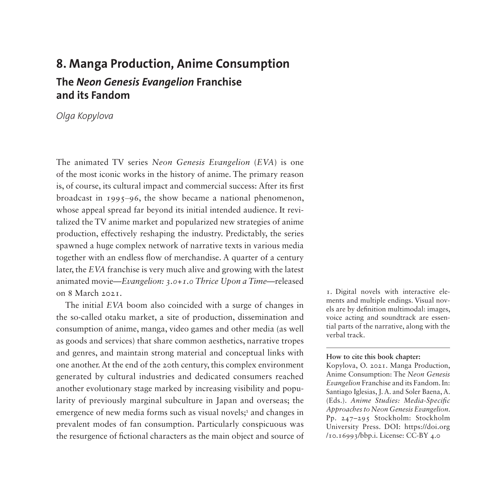# **8. Manga Production, Anime Consumption The** *Neon Genesis Evangelion* **Franchise and its Fandom**

*Olga Kopylova*

The animated TV series *Neon Genesis Evangelion* (*EVA*) is one of the most iconic works in the history of anime. The primary reason is, of course, its cultural impact and commercial success: After its first broadcast in  $1995-96$ , the show became a national phenomenon, whose appeal spread far beyond its initial intended audience. It revitalized the TV anime market and popularized new strategies of anime production, effectively reshaping the industry. Predictably, the series spawned a huge complex network of narrative texts in various media together with an endless flow of merchandise. A quarter of a century later, the *EVA* franchise is very much alive and growing with the latest animated movie—*Evangelion: 3.0+1.0 Thrice Upon a Time*—released on 8 March 2021.

The initial *EVA* boom also coincided with a surge of changes in the so-called otaku market, a site of production, dissemination and consumption of anime, manga, video games and other media (as well as goods and services) that share common aesthetics, narrative tropes and genres, and maintain strong material and conceptual links with one another. At the end of the 20th century, this complex environment generated by cultural industries and dedicated consumers reached another evolutionary stage marked by increasing visibility and popularity of previously marginal subculture in Japan and overseas; the emergence of new media forms such as visual novels;<sup>[1](#page-0-0)</sup> and changes in prevalent modes of fan consumption. Particularly conspicuous was the resurgence of fictional characters as the main object and source of

<span id="page-0-0"></span>1. Digital novels with interactive elements and multiple endings. Visual novels are by definition multimodal: images, voice acting and soundtrack are essential parts of the narrative, along with the verbal track.

#### **How to cite this book chapter:**

Kopylova, O. 2021. Manga Production, Anime Consumption: The *Neon Genesis Evangelion* Franchise and its Fandom. In: Santiago Iglesias, J. A. and Soler Baena, A. (Eds.). *Anime Studies: Media-Specific Approaches to Neon Genesis Evangelion*. Pp. 247–295 Stockholm: Stockholm University Press. DOI: [https://doi.org](https://doi.org/10.16993/bbp.i) [/10.16993/bbp.i.](https://doi.org/10.16993/bbp.i) License: CC-BY 4.0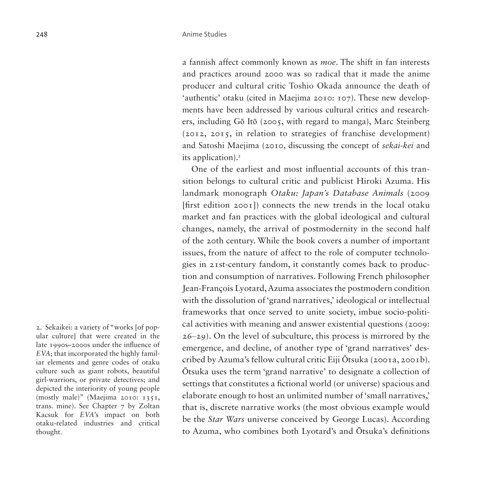a fannish affect commonly known as *moe*. The shift in fan interests and practices around 2000 was so radical that it made the anime producer and cultural critic Toshio Okada announce the death of 'authentic' otaku (cited in Maejima 2010: 107). These new developments have been addressed by various cultural critics and researchers, including Gō Itō (2005, with regard to manga), Marc Steinberg (2012, 2015, in relation to strategies of franchise development) and Satoshi Maejima (2010, discussing the concept of *sekai-kei* and its application).[2](#page-1-0)

One of the earliest and most influential accounts of this transition belongs to cultural critic and publicist Hiroki Azuma. His landmark monograph *Otaku: Japan's Database Animals* (2009 [first edition 2001]) connects the new trends in the local otaku market and fan practices with the global ideological and cultural changes, namely, the arrival of postmodernity in the second half of the 20th century. While the book covers a number of important issues, from the nature of affect to the role of computer technologies in 21st-century fandom, it constantly comes back to production and consumption of narratives. Following French philosopher Jean-François Lyotard, Azuma associates the postmodern condition with the dissolution of 'grand narratives,' ideological or intellectual frameworks that once served to unite society, imbue socio-political activities with meaning and answer existential questions (2009:  $26-29$ ). On the level of subculture, this process is mirrored by the emergence, and decline, of another type of 'grand narratives' described by Azuma's fellow cultural critic Eiji Ōtsuka (2001a, 2001b). Ōtsuka uses the term 'grand narrative' to designate a collection of settings that constitutes a fictional world (or universe) spacious and elaborate enough to host an unlimited number of 'small narratives,' that is, discrete narrative works (the most obvious example would be the *Star Wars* universe conceived by George Lucas). According to Azuma, who combines both Lyotard's and Ōtsuka's definitions

<span id="page-1-0"></span>2. Sekaikei: a variety of "works [of popular culture] that were created in the late 1990s–2000s under the influence of *EVA*; that incorporated the highly familiar elements and genre codes of otaku culture such as giant robots, beautiful girl-warriors, or private detectives; and depicted the interiority of young people (mostly male)" (Maejima 2010: 1351, trans. mine). See Chapter 7 by Zoltan Kacsuk for *EVA*'s impact on both otaku-related industries and critical thought.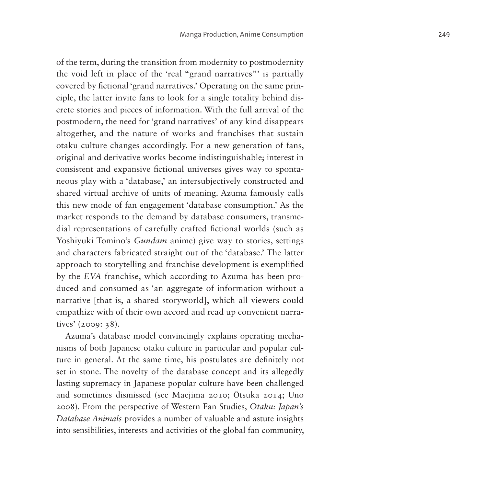of the term, during the transition from modernity to postmodernity the void left in place of the 'real "grand narratives"' is partially covered by fictional 'grand narratives.' Operating on the same principle, the latter invite fans to look for a single totality behind discrete stories and pieces of information. With the full arrival of the postmodern, the need for 'grand narratives' of any kind disappears altogether, and the nature of works and franchises that sustain otaku culture changes accordingly. For a new generation of fans, original and derivative works become indistinguishable; interest in consistent and expansive fictional universes gives way to spontaneous play with a 'database,' an intersubjectively constructed and shared virtual archive of units of meaning. Azuma famously calls this new mode of fan engagement 'database consumption.' As the market responds to the demand by database consumers, transmedial representations of carefully crafted fictional worlds (such as Yoshiyuki Tomino's *Gundam* anime) give way to stories, settings and characters fabricated straight out of the 'database.' The latter approach to storytelling and franchise development is exemplified by the *EVA* franchise, which according to Azuma has been produced and consumed as 'an aggregate of information without a narrative [that is, a shared storyworld], which all viewers could empathize with of their own accord and read up convenient narratives' (2009: 38).

Azuma's database model convincingly explains operating mechanisms of both Japanese otaku culture in particular and popular culture in general. At the same time, his postulates are definitely not set in stone. The novelty of the database concept and its allegedly lasting supremacy in Japanese popular culture have been challenged and sometimes dismissed (see Maejima 2010; Ōtsuka 2014; Uno 2008). From the perspective of Western Fan Studies, *Otaku: Japan's Database Animals* provides a number of valuable and astute insights into sensibilities, interests and activities of the global fan community,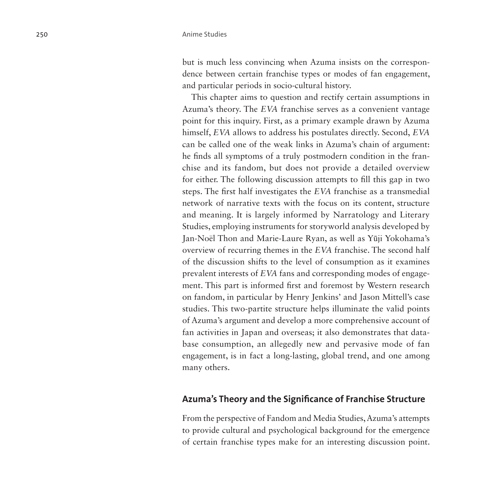but is much less convincing when Azuma insists on the correspondence between certain franchise types or modes of fan engagement, and particular periods in socio-cultural history.

This chapter aims to question and rectify certain assumptions in Azuma's theory. The *EVA* franchise serves as a convenient vantage point for this inquiry. First, as a primary example drawn by Azuma himself, *EVA* allows to address his postulates directly. Second, *EVA* can be called one of the weak links in Azuma's chain of argument: he finds all symptoms of a truly postmodern condition in the franchise and its fandom, but does not provide a detailed overview for either. The following discussion attempts to fill this gap in two steps. The first half investigates the *EVA* franchise as a transmedial network of narrative texts with the focus on its content, structure and meaning. It is largely informed by Narratology and Literary Studies, employing instruments for storyworld analysis developed by Jan-Noël Thon and Marie-Laure Ryan, as well as Yūji Yokohama's overview of recurring themes in the *EVA* franchise. The second half of the discussion shifts to the level of consumption as it examines prevalent interests of *EVA* fans and corresponding modes of engagement. This part is informed first and foremost by Western research on fandom, in particular by Henry Jenkins' and Jason Mittell's case studies. This two-partite structure helps illuminate the valid points of Azuma's argument and develop a more comprehensive account of fan activities in Japan and overseas; it also demonstrates that database consumption, an allegedly new and pervasive mode of fan engagement, is in fact a long-lasting, global trend, and one among many others.

### **Azuma's Theory and the Significance of Franchise Structure**

From the perspective of Fandom and Media Studies, Azuma's attempts to provide cultural and psychological background for the emergence of certain franchise types make for an interesting discussion point.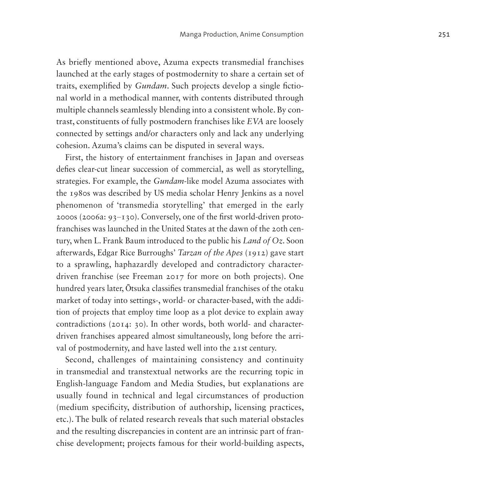As briefly mentioned above, Azuma expects transmedial franchises launched at the early stages of postmodernity to share a certain set of traits, exemplified by *Gundam*. Such projects develop a single fictional world in a methodical manner, with contents distributed through multiple channels seamlessly blending into a consistent whole. By contrast, constituents of fully postmodern franchises like *EVA* are loosely connected by settings and/or characters only and lack any underlying cohesion. Azuma's claims can be disputed in several ways.

First, the history of entertainment franchises in Japan and overseas defies clear-cut linear succession of commercial, as well as storytelling, strategies. For example, the *Gundam*-like model Azuma associates with the 1980s was described by US media scholar Henry Jenkins as a novel phenomenon of 'transmedia storytelling' that emerged in the early  $2000s$  ( $2006a: 93-130$ ). Conversely, one of the first world-driven protofranchises was launched in the United States at the dawn of the 20th century, when L. Frank Baum introduced to the public his *Land of Oz*. Soon afterwards, Edgar Rice Burroughs' *Tarzan of the Apes* (1912) gave start to a sprawling, haphazardly developed and contradictory characterdriven franchise (see Freeman 2017 for more on both projects). One hundred years later, Ōtsuka classifies transmedial franchises of the otaku market of today into settings-, world- or character-based, with the addition of projects that employ time loop as a plot device to explain away contradictions (2014: 30). In other words, both world- and characterdriven franchises appeared almost simultaneously, long before the arrival of postmodernity, and have lasted well into the 21st century.

Second, challenges of maintaining consistency and continuity in transmedial and transtextual networks are the recurring topic in English-language Fandom and Media Studies, but explanations are usually found in technical and legal circumstances of production (medium specificity, distribution of authorship, licensing practices, etc.). The bulk of related research reveals that such material obstacles and the resulting discrepancies in content are an intrinsic part of franchise development; projects famous for their world-building aspects,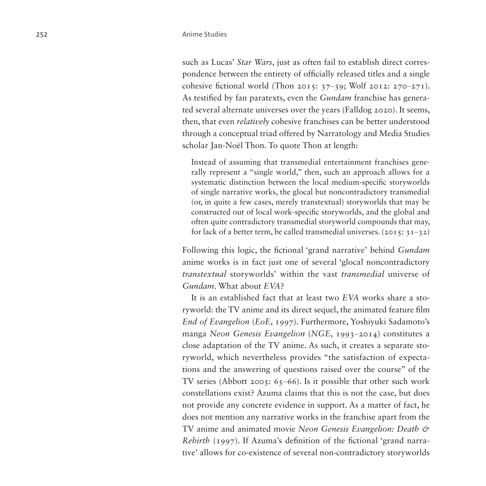such as Lucas' *Star Wars*, just as often fail to establish direct correspondence between the entirety of officially released titles and a single cohesive fictional world (Thon 2015:  $37-39$ ; Wolf 2012: 270-271). As testified by fan paratexts, even the *Gundam* franchise has generated several alternate universes over the years (Falldog 2020). It seems, then, that even *relatively* cohesive franchises can be better understood through a conceptual triad offered by Narratology and Media Studies scholar Jan-Noël Thon. To quote Thon at length:

Instead of assuming that transmedial entertainment franchises generally represent a "single world," then, such an approach allows for a systematic distinction between the local medium-specific storyworlds of single narrative works, the glocal but noncontradictory transmedial (or, in quite a few cases, merely transtextual) storyworlds that may be constructed out of local work-specific storyworlds, and the global and often quite contradictory transmedial storyworld compounds that may, for lack of a better term, be called transmedial universes.  $(2015: 31-32)$ 

Following this logic, the fictional 'grand narrative' behind *Gundam* anime works is in fact just one of several 'glocal noncontradictory *transtextual* storyworlds' within the vast *transmedial* universe of *Gundam*. What about *EVA*?

It is an established fact that at least two *EVA* works share a storyworld: the TV anime and its direct sequel, the animated feature film *End of Evangelion* (*EoE*, 1997). Furthermore, Yoshiyuki Sadamoto's manga *Neon Genesis Evangelion* (*NGE*, 1993–2014) constitutes a close adaptation of the TV anime. As such, it creates a separate storyworld, which nevertheless provides "the satisfaction of expectations and the answering of questions raised over the course" of the TV series (Abbott 2005: 65–66). Is it possible that other such work constellations exist? Azuma claims that this is not the case, but does not provide any concrete evidence in support. As a matter of fact, he does not mention any narrative works in the franchise apart from the TV anime and animated movie *Neon Genesis Evangelion: Death & Rebirth* (1997). If Azuma's definition of the fictional 'grand narrative' allows for co-existence of several non-contradictory storyworlds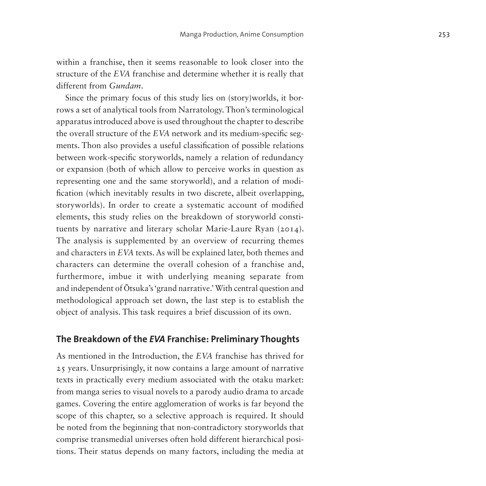within a franchise, then it seems reasonable to look closer into the structure of the *EVA* franchise and determine whether it is really that different from *Gundam*.

Since the primary focus of this study lies on (story)worlds, it borrows a set of analytical tools from Narratology. Thon's terminological apparatus introduced above is used throughout the chapter to describe the overall structure of the *EVA* network and its medium-specific segments. Thon also provides a useful classification of possible relations between work-specific storyworlds, namely a relation of redundancy or expansion (both of which allow to perceive works in question as representing one and the same storyworld), and a relation of modification (which inevitably results in two discrete, albeit overlapping, storyworlds). In order to create a systematic account of modified elements, this study relies on the breakdown of storyworld constituents by narrative and literary scholar Marie-Laure Ryan (2014). The analysis is supplemented by an overview of recurring themes and characters in *EVA* texts. As will be explained later, both themes and characters can determine the overall cohesion of a franchise and, furthermore, imbue it with underlying meaning separate from and independent of Ōtsuka's 'grand narrative.' With central question and methodological approach set down, the last step is to establish the object of analysis. This task requires a brief discussion of its own.

#### **The Breakdown of the** *EVA* **Franchise: Preliminary Thoughts**

As mentioned in the Introduction, the *EVA* franchise has thrived for 25 years. Unsurprisingly, it now contains a large amount of narrative texts in practically every medium associated with the otaku market: from manga series to visual novels to a parody audio drama to arcade games. Covering the entire agglomeration of works is far beyond the scope of this chapter, so a selective approach is required. It should be noted from the beginning that non-contradictory storyworlds that comprise transmedial universes often hold different hierarchical positions. Their status depends on many factors, including the media at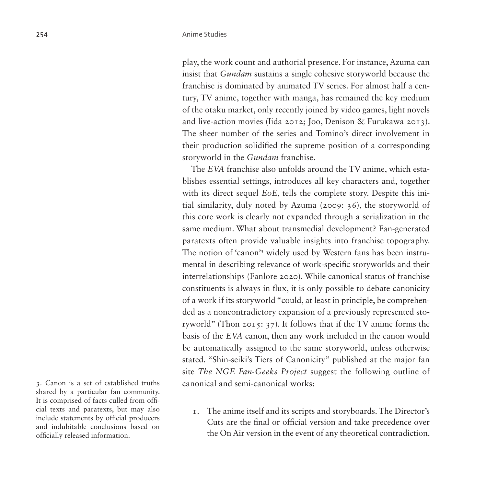play, the work count and authorial presence. For instance, Azuma can insist that *Gundam* sustains a single cohesive storyworld because the franchise is dominated by animated TV series. For almost half a century, TV anime, together with manga, has remained the key medium of the otaku market, only recently joined by video games, light novels and live-action movies (Iida 2012; Joo, Denison & Furukawa 2013). The sheer number of the series and Tomino's direct involvement in their production solidified the supreme position of a corresponding storyworld in the *Gundam* franchise.

The *EVA* franchise also unfolds around the TV anime, which establishes essential settings, introduces all key characters and, together with its direct sequel *EoE*, tells the complete story. Despite this initial similarity, duly noted by Azuma (2009: 36), the storyworld of this core work is clearly not expanded through a serialization in the same medium. What about transmedial development? Fan-generated paratexts often provide valuable insights into franchise topography. The notion of 'canon'[3](#page-7-0) widely used by Western fans has been instrumental in describing relevance of work-specific storyworlds and their interrelationships (Fanlore 2020). While canonical status of franchise constituents is always in flux, it is only possible to debate canonicity of a work if its storyworld "could, at least in principle, be comprehended as a noncontradictory expansion of a previously represented storyworld" (Thon 2015: 37). It follows that if the TV anime forms the basis of the *EVA* canon, then any work included in the canon would be automatically assigned to the same storyworld, unless otherwise stated. "Shin-seiki's Tiers of Canonicity" published at the major fan site *The NGE Fan-Geeks Project* suggest the following outline of canonical and semi-canonical works:

1. The anime itself and its scripts and storyboards. The Director's Cuts are the final or official version and take precedence over the On Air version in the event of any theoretical contradiction.

<span id="page-7-0"></span>3. Canon is a set of established truths shared by a particular fan community. It is comprised of facts culled from official texts and paratexts, but may also include statements by official producers and indubitable conclusions based on officially released information.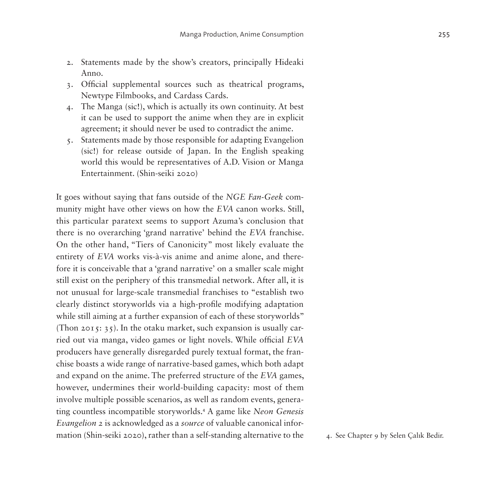- 2. Statements made by the show's creators, principally Hideaki Anno.
- 3. Official supplemental sources such as theatrical programs, Newtype Filmbooks, and Cardass Cards.
- 4. The Manga (sic!), which is actually its own continuity. At best it can be used to support the anime when they are in explicit agreement; it should never be used to contradict the anime.
- 5. Statements made by those responsible for adapting Evangelion (sic!) for release outside of Japan. In the English speaking world this would be representatives of A.D. Vision or Manga Entertainment. (Shin-seiki 2020)

It goes without saying that fans outside of the *NGE Fan-Geek* community might have other views on how the *EVA* canon works. Still, this particular paratext seems to support Azuma's conclusion that there is no overarching 'grand narrative' behind the *EVA* franchise. On the other hand, "Tiers of Canonicity" most likely evaluate the entirety of *EVA* works vis-à-vis anime and anime alone, and therefore it is conceivable that a 'grand narrative' on a smaller scale might still exist on the periphery of this transmedial network. After all, it is not unusual for large-scale transmedial franchises to "establish two clearly distinct storyworlds via a high-profile modifying adaptation while still aiming at a further expansion of each of these storyworlds" (Thon 2015:  $35$ ). In the otaku market, such expansion is usually carried out via manga, video games or light novels. While official *EVA* producers have generally disregarded purely textual format, the franchise boasts a wide range of narrative-based games, which both adapt and expand on the anime. The preferred structure of the *EVA* games, however, undermines their world-building capacity: most of them involve multiple possible scenarios, as well as random events, generating countless incompatible storyworlds.[4](#page-8-0) A game like *Neon Genesis Evangelion 2* is acknowledged as a *source* of valuable canonical information (Shin-seiki 2020), rather than a self-standing alternative to the 4. See Chapter 9 by Selen Çalık Bedir.

<span id="page-8-0"></span>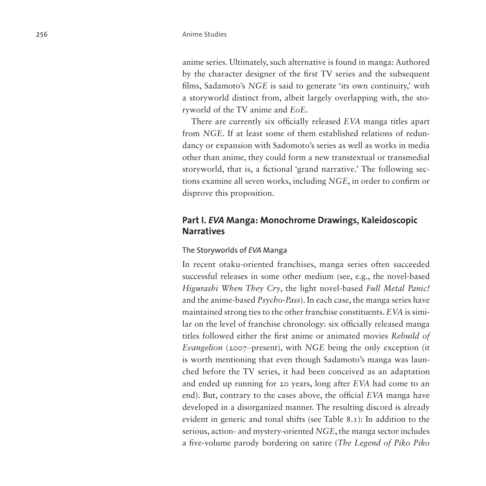anime series. Ultimately, such alternative is found in manga: Authored by the character designer of the first TV series and the subsequent films, Sadamoto's *NGE* is said to generate 'its own continuity,' with a storyworld distinct from, albeit largely overlapping with, the storyworld of the TV anime and *EoE*.

There are currently six officially released *EVA* manga titles apart from *NGE*. If at least some of them established relations of redundancy or expansion with Sadomoto's series as well as works in media other than anime, they could form a new transtextual or transmedial storyworld, that is, a fictional 'grand narrative.' The following sections examine all seven works, including *NGE*, in order to confirm or disprove this proposition.

# **Part I.** *EVA* **Manga: Monochrome Drawings, Kaleidoscopic Narratives**

#### The Storyworlds of *EVA* Manga

In recent otaku-oriented franchises, manga series often succeeded successful releases in some other medium (see, e.g., the novel-based *Higurashi When They Cry*, the light novel-based *Full Metal Panic!* and the anime-based *Psycho-Pass*). In each case, the manga series have maintained strong ties to the other franchise constituents. *EVA* is similar on the level of franchise chronology: six officially released manga titles followed either the first anime or animated movies *Rebuild of Evangelion* (2007–present), with *NGE* being the only exception (it) is worth mentioning that even though Sadamoto's manga was launched before the TV series, it had been conceived as an adaptation and ended up running for 20 years, long after *EVA* had come to an end). But, contrary to the cases above, the official *EVA* manga have developed in a disorganized manner. The resulting discord is already evident in generic and tonal shifts [\(see Table 8.1\)](#page-10-0): In addition to the serious, action- and mystery-oriented *NGE*, the manga sector includes a five-volume parody bordering on satire (*The Legend of Piko Piko*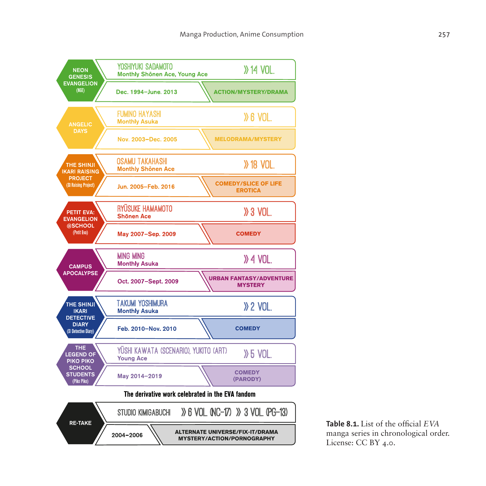

<span id="page-10-0"></span>**Table 8.1.** List of the official *EVA* manga series in chronological order. License: CC BY 4.0.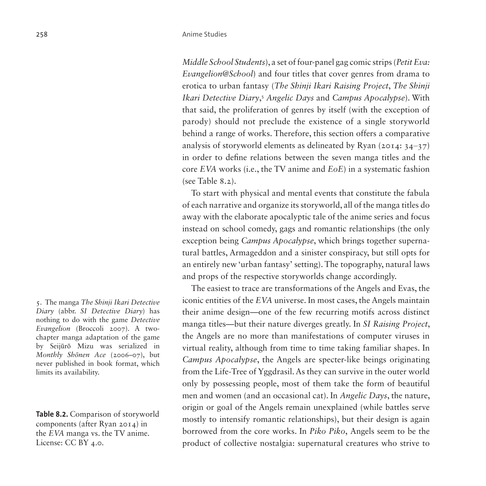*Middle School Students*), a set of four-panel gag comic strips (*Petit Eva: Evangelion@School*) and four titles that cover genres from drama to erotica to urban fantasy (*The Shinji Ikari Raising Project*, *The Shinji Ikari Detective Diary*, [5](#page-11-0) *Angelic Days* and *Campus Apocalypse*). With that said, the proliferation of genres by itself (with the exception of parody) should not preclude the existence of a single storyworld behind a range of works. Therefore, this section offers a comparative analysis of storyworld elements as delineated by Ryan (2014:  $34-37$ ) in order to define relations between the seven manga titles and the core *EVA* works (i.e., the TV anime and *EoE*) in a systematic fashion [\(see Table 8.2](#page-11-1)).

To start with physical and mental events that constitute the fabula of each narrative and organize its storyworld, all of the manga titles do away with the elaborate apocalyptic tale of the anime series and focus instead on school comedy, gags and romantic relationships (the only exception being *Campus Apocalypse*, which brings together supernatural battles, Armageddon and a sinister conspiracy, but still opts for an entirely new 'urban fantasy' setting). The topography, natural laws and props of the respective storyworlds change accordingly.

The easiest to trace are transformations of the Angels and Evas, the iconic entities of the *EVA* universe. In most cases, the Angels maintain their anime design—one of the few recurring motifs across distinct manga titles—but their nature diverges greatly. In *SI Raising Project*, the Angels are no more than manifestations of computer viruses in virtual reality, although from time to time taking familiar shapes. In *Campus Apocalypse*, the Angels are specter-like beings originating from the Life-Tree of Yggdrasil. As they can survive in the outer world only by possessing people, most of them take the form of beautiful men and women (and an occasional cat). In *Angelic Days*, the nature, origin or goal of the Angels remain unexplained (while battles serve mostly to intensify romantic relationships), but their design is again borrowed from the core works. In *Piko Piko*, Angels seem to be the product of collective nostalgia: supernatural creatures who strive to

<span id="page-11-0"></span>5. The manga *The Shinji Ikari Detective Diary* (abbr. *SI Detective Diary*) has nothing to do with the game *Detective Evangelion* (Broccoli 2007). A twochapter manga adaptation of the game by Seijūrō Mizu was serialized in *Monthly Shōnen Ace* (2006–07), but never published in book format, which limits its availability.

<span id="page-11-1"></span>**Table 8.2.** Comparison of storyworld components (after Ryan 2014) in the *EVA* manga vs. the TV anime. License: CC BY 4.0.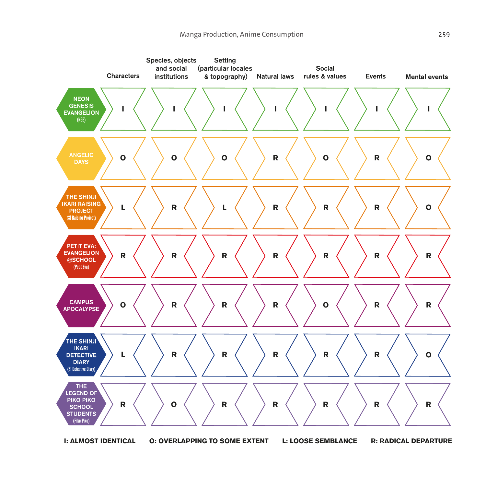

**I: ALMOST IDENTICAL O: OVERLAPPING TO SOME EXTENT L: LOOSE SEMBLANCE R: RADICAL DEPARTURE**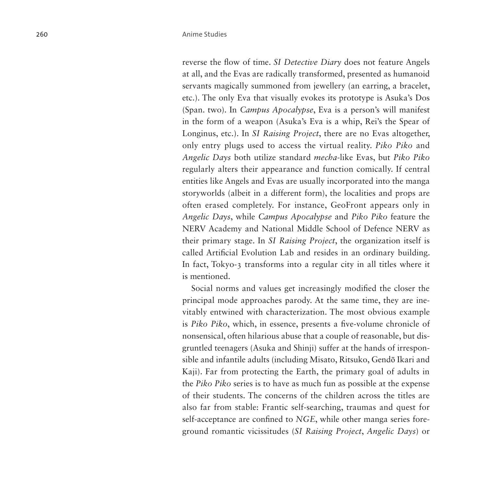reverse the flow of time. *SI Detective Diary* does not feature Angels at all, and the Evas are radically transformed, presented as humanoid servants magically summoned from jewellery (an earring, a bracelet, etc.). The only Eva that visually evokes its prototype is Asuka's Dos (Span. two). In *Campus Apocalypse*, Eva is a person's will manifest in the form of a weapon (Asuka's Eva is a whip, Rei's the Spear of Longinus, etc.). In *SI Raising Project*, there are no Evas altogether, only entry plugs used to access the virtual reality. *Piko Piko* and *Angelic Days* both utilize standard *mecha*-like Evas, but *Piko Piko* regularly alters their appearance and function comically. If central entities like Angels and Evas are usually incorporated into the manga storyworlds (albeit in a different form), the localities and props are often erased completely. For instance, GeoFront appears only in *Angelic Days*, while *Campus Apocalypse* and *Piko Piko* feature the NERV Academy and National Middle School of Defence NERV as their primary stage. In *SI Raising Project*, the organization itself is called Artificial Evolution Lab and resides in an ordinary building. In fact, Tokyo-3 transforms into a regular city in all titles where it is mentioned.

Social norms and values get increasingly modified the closer the principal mode approaches parody. At the same time, they are inevitably entwined with characterization. The most obvious example is *Piko Piko*, which, in essence, presents a five-volume chronicle of nonsensical, often hilarious abuse that a couple of reasonable, but disgruntled teenagers (Asuka and Shinji) suffer at the hands of irresponsible and infantile adults (including Misato, Ritsuko, Gendō Ikari and Kaji). Far from protecting the Earth, the primary goal of adults in the *Piko Piko* series is to have as much fun as possible at the expense of their students. The concerns of the children across the titles are also far from stable: Frantic self-searching, traumas and quest for self-acceptance are confined to *NGE*, while other manga series foreground romantic vicissitudes (*SI Raising Project*, *Angelic Days*) or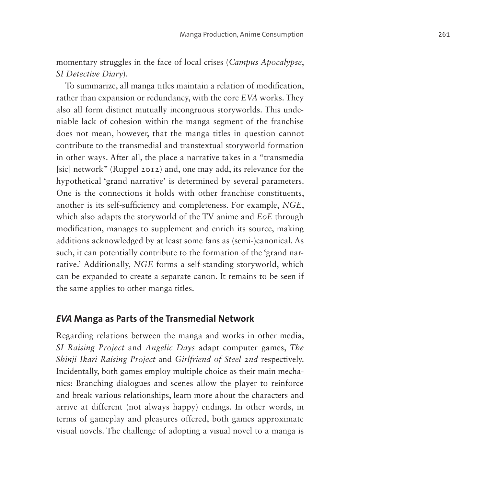momentary struggles in the face of local crises (*Campus Apocalypse*, *SI Detective Diary*).

To summarize, all manga titles maintain a relation of modification, rather than expansion or redundancy, with the core *EVA* works. They also all form distinct mutually incongruous storyworlds. This undeniable lack of cohesion within the manga segment of the franchise does not mean, however, that the manga titles in question cannot contribute to the transmedial and transtextual storyworld formation in other ways. After all, the place a narrative takes in a "transmedia [sic] network" (Ruppel 2012) and, one may add, its relevance for the hypothetical 'grand narrative' is determined by several parameters. One is the connections it holds with other franchise constituents, another is its self-sufficiency and completeness. For example, *NGE*, which also adapts the storyworld of the TV anime and *EoE* through modification, manages to supplement and enrich its source, making additions acknowledged by at least some fans as (semi-)canonical. As such, it can potentially contribute to the formation of the 'grand narrative.' Additionally, *NGE* forms a self-standing storyworld, which can be expanded to create a separate canon. It remains to be seen if the same applies to other manga titles.

### *EVA* **Manga as Parts of the Transmedial Network**

Regarding relations between the manga and works in other media, *SI Raising Project* and *Angelic Days* adapt computer games, *The Shinji Ikari Raising Project* and *Girlfriend of Steel 2nd* respectively. Incidentally, both games employ multiple choice as their main mechanics: Branching dialogues and scenes allow the player to reinforce and break various relationships, learn more about the characters and arrive at different (not always happy) endings. In other words, in terms of gameplay and pleasures offered, both games approximate visual novels. The challenge of adopting a visual novel to a manga is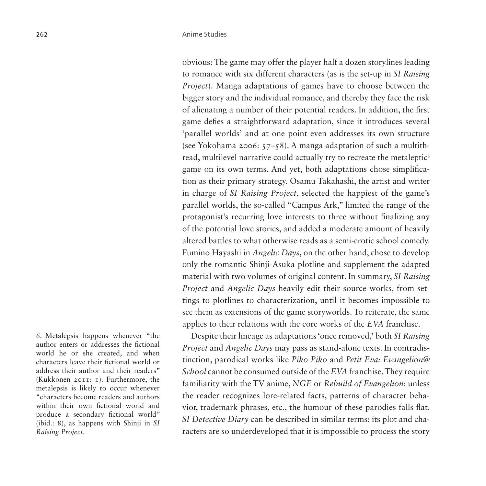obvious: The game may offer the player half a dozen storylines leading to romance with six different characters (as is the set-up in *SI Raising Project*). Manga adaptations of games have to choose between the bigger story and the individual romance, and thereby they face the risk of alienating a number of their potential readers. In addition, the first game defies a straightforward adaptation, since it introduces several 'parallel worlds' and at one point even addresses its own structure (see Yokohama 2006: 57–58). A manga adaptation of such a multith-read, multilevel narrative could actually try to recreate the metaleptic<sup>[6](#page-15-0)</sup> game on its own terms. And yet, both adaptations chose simplification as their primary strategy. Osamu Takahashi, the artist and writer in charge of *SI Raising Project*, selected the happiest of the game's parallel worlds, the so-called "Campus Ark," limited the range of the protagonist's recurring love interests to three without finalizing any of the potential love stories, and added a moderate amount of heavily altered battles to what otherwise reads as a semi-erotic school comedy. Fumino Hayashi in *Angelic Days*, on the other hand, chose to develop only the romantic Shinji-Asuka plotline and supplement the adapted material with two volumes of original content. In summary, *SI Raising Project* and *Angelic Days* heavily edit their source works, from settings to plotlines to characterization, until it becomes impossible to see them as extensions of the game storyworlds. To reiterate, the same applies to their relations with the core works of the *EVA* franchise.

<span id="page-15-0"></span>6. Metalepsis happens whenever "the author enters or addresses the fictional world he or she created, and when characters leave their fictional world or address their author and their readers" (Kukkonen 2011: 1). Furthermore, the metalepsis is likely to occur whenever "characters become readers and authors within their own fictional world and produce a secondary fictional world" (ibid.: 8), as happens with Shinji in *SI Raising Project*.

Despite their lineage as adaptations 'once removed,' both *SI Raising Project* and *Angelic Days* may pass as stand-alone texts. In contradistinction, parodical works like *Piko Piko* and *Petit Eva: Evangelion@ School* cannot be consumed outside of the *EVA* franchise. They require familiarity with the TV anime, *NGE* or *Rebuild of Evangelion*: unless the reader recognizes lore-related facts, patterns of character behavior, trademark phrases, etc., the humour of these parodies falls flat. *SI Detective Diary* can be described in similar terms: its plot and characters are so underdeveloped that it is impossible to process the story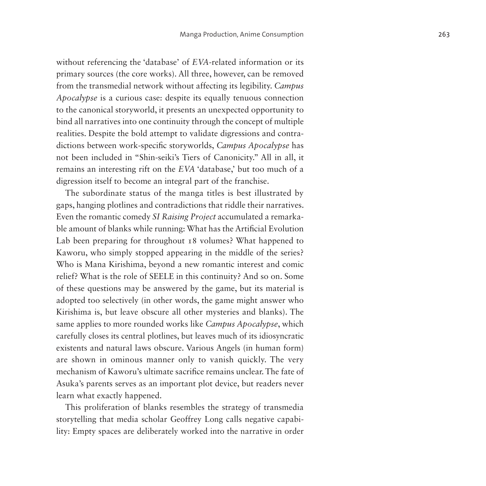without referencing the 'database' of *EVA*-related information or its primary sources (the core works). All three, however, can be removed from the transmedial network without affecting its legibility. *Campus Apocalypse* is a curious case: despite its equally tenuous connection to the canonical storyworld, it presents an unexpected opportunity to bind all narratives into one continuity through the concept of multiple realities. Despite the bold attempt to validate digressions and contradictions between work-specific storyworlds, *Campus Apocalypse* has not been included in "Shin-seiki's Tiers of Canonicity." All in all, it remains an interesting rift on the *EVA* 'database,' but too much of a digression itself to become an integral part of the franchise.

The subordinate status of the manga titles is best illustrated by gaps, hanging plotlines and contradictions that riddle their narratives. Even the romantic comedy *SI Raising Project* accumulated a remarkable amount of blanks while running: What has the Artificial Evolution Lab been preparing for throughout 18 volumes? What happened to Kaworu, who simply stopped appearing in the middle of the series? Who is Mana Kirishima, beyond a new romantic interest and comic relief? What is the role of SEELE in this continuity? And so on. Some of these questions may be answered by the game, but its material is adopted too selectively (in other words, the game might answer who Kirishima is, but leave obscure all other mysteries and blanks). The same applies to more rounded works like *Campus Apocalypse*, which carefully closes its central plotlines, but leaves much of its idiosyncratic existents and natural laws obscure. Various Angels (in human form) are shown in ominous manner only to vanish quickly. The very mechanism of Kaworu's ultimate sacrifice remains unclear. The fate of Asuka's parents serves as an important plot device, but readers never learn what exactly happened.

This proliferation of blanks resembles the strategy of transmedia storytelling that media scholar Geoffrey Long calls negative capability: Empty spaces are deliberately worked into the narrative in order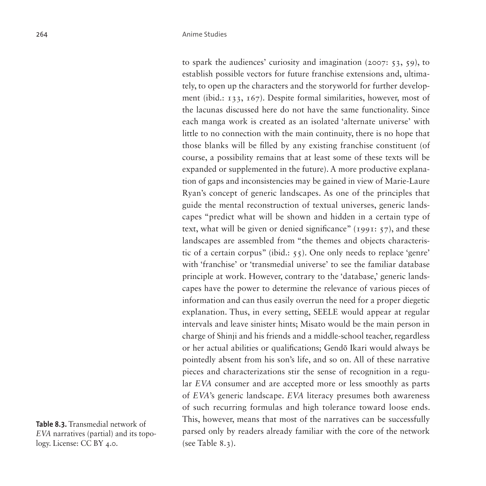to spark the audiences' curiosity and imagination (2007: 53, 59), to establish possible vectors for future franchise extensions and, ultimately, to open up the characters and the storyworld for further development (ibid.: 133, 167). Despite formal similarities, however, most of the lacunas discussed here do not have the same functionality. Since each manga work is created as an isolated 'alternate universe' with little to no connection with the main continuity, there is no hope that those blanks will be filled by any existing franchise constituent (of course, a possibility remains that at least some of these texts will be expanded or supplemented in the future). A more productive explanation of gaps and inconsistencies may be gained in view of Marie-Laure Ryan's concept of generic landscapes. As one of the principles that guide the mental reconstruction of textual universes, generic landscapes "predict what will be shown and hidden in a certain type of text, what will be given or denied significance" (1991: 57), and these landscapes are assembled from "the themes and objects characteristic of a certain corpus" (ibid.: 55). One only needs to replace 'genre' with 'franchise' or 'transmedial universe' to see the familiar database principle at work. However, contrary to the 'database,' generic landscapes have the power to determine the relevance of various pieces of information and can thus easily overrun the need for a proper diegetic explanation. Thus, in every setting, SEELE would appear at regular intervals and leave sinister hints; Misato would be the main person in charge of Shinji and his friends and a middle-school teacher, regardless or her actual abilities or qualifications; Gendō Ikari would always be pointedly absent from his son's life, and so on. All of these narrative pieces and characterizations stir the sense of recognition in a regular *EVA* consumer and are accepted more or less smoothly as parts of *EVA*'s generic landscape. *EVA* literacy presumes both awareness of such recurring formulas and high tolerance toward loose ends. This, however, means that most of the narratives can be successfully parsed only by readers already familiar with the core of the network [\(see Table 8.3\)](#page-17-0).

<span id="page-17-0"></span>**Table 8.3.** Transmedial network of *EVA* narratives (partial) and its topology. License: CC BY 4.0.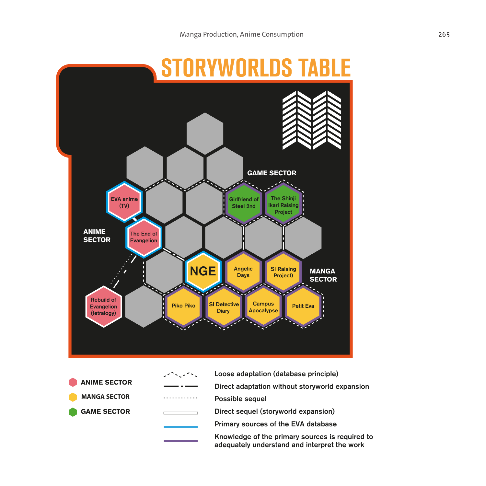

- **ANIME SECTOR MANGA SECTOR GAME SECTOR**
- Loose adaptation (database principle) Direct adaptation without storyworld expansion . . . . . . . . . Possible sequel Direct sequel (storyworld expansion) Primary sources of the EVA database Knowledge of the primary sources is required to adequately understand and interpret the work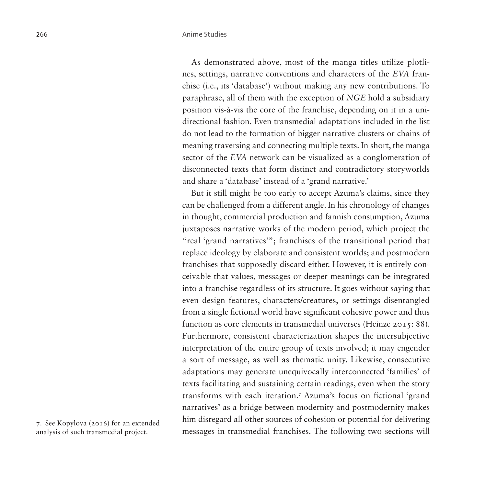As demonstrated above, most of the manga titles utilize plotlines, settings, narrative conventions and characters of the *EVA* franchise (i.e., its 'database') without making any new contributions. To paraphrase, all of them with the exception of *NGE* hold a subsidiary position vis-à-vis the core of the franchise, depending on it in a unidirectional fashion. Even transmedial adaptations included in the list do not lead to the formation of bigger narrative clusters or chains of meaning traversing and connecting multiple texts. In short, the manga sector of the *EVA* network can be visualized as a conglomeration of disconnected texts that form distinct and contradictory storyworlds and share a 'database' instead of a 'grand narrative.'

But it still might be too early to accept Azuma's claims, since they can be challenged from a different angle. In his chronology of changes in thought, commercial production and fannish consumption, Azuma juxtaposes narrative works of the modern period, which project the "real 'grand narratives'"; franchises of the transitional period that replace ideology by elaborate and consistent worlds; and postmodern franchises that supposedly discard either. However, it is entirely conceivable that values, messages or deeper meanings can be integrated into a franchise regardless of its structure. It goes without saying that even design features, characters/creatures, or settings disentangled from a single fictional world have significant cohesive power and thus function as core elements in transmedial universes (Heinze 2015: 88). Furthermore, consistent characterization shapes the intersubjective interpretation of the entire group of texts involved; it may engender a sort of message, as well as thematic unity. Likewise, consecutive adaptations may generate unequivocally interconnected 'families' of texts facilitating and sustaining certain readings, even when the story transforms with each iteration.[7](#page-19-0) Azuma's focus on fictional 'grand narratives' as a bridge between modernity and postmodernity makes him disregard all other sources of cohesion or potential for delivering messages in transmedial franchises. The following two sections will

<span id="page-19-0"></span>7. See Kopylova (2016) for an extended analysis of such transmedial project.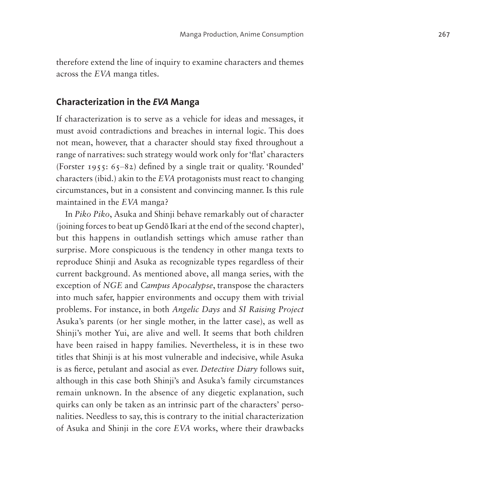therefore extend the line of inquiry to examine characters and themes across the *EVA* manga titles.

### **Characterization in the** *EVA* **Manga**

If characterization is to serve as a vehicle for ideas and messages, it must avoid contradictions and breaches in internal logic. This does not mean, however, that a character should stay fixed throughout a range of narratives: such strategy would work only for 'flat' characters (Forster 1955:  $65-82$ ) defined by a single trait or quality. Rounded' characters (ibid.) akin to the *EVA* protagonists must react to changing circumstances, but in a consistent and convincing manner. Is this rule maintained in the *EVA* manga?

In *Piko Piko* , Asuka and Shinji behave remarkably out of character (joining forces to beat up Gend ō Ikari at the end of the second chapter), but this happens in outlandish settings which amuse rather than surprise. More conspicuous is the tendency in other manga texts to reproduce Shinji and Asuka as recognizable types regardless of their current background. As mentioned above, all manga series, with the exception of *NGE* and *Campus Apocalypse*, transpose the characters into much safer, happier environments and occupy them with trivial problems. For instance, in both *Angelic Days* and *SI Raising Project* Asuka's parents (or her single mother, in the latter case), as well as Shinji's mother Yui, are alive and well. It seems that both children have been raised in happy families. Nevertheless, it is in these two titles that Shinji is at his most vulnerable and indecisive, while Asuka is as fierce, petulant and asocial as ever. *Detective Diary* follows suit, although in this case both Shinji's and Asuka's family circumstances remain unknown. In the absence of any diegetic explanation, such quirks can only be taken as an intrinsic part of the characters' perso nalities. Needless to say, this is contrary to the initial characterization of Asuka and Shinji in the core *EVA* works, where their drawbacks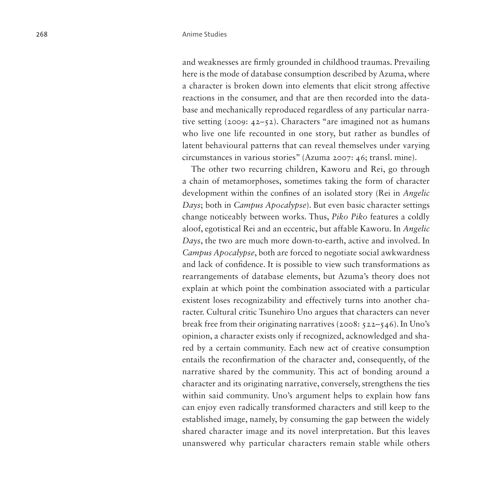and weaknesses are firmly grounded in childhood traumas. Prevailing here is the mode of database consumption described by Azuma, where a character is broken down into elements that elicit strong affective reactions in the consumer, and that are then recorded into the database and mechanically reproduced regardless of any particular narrative setting (2009: 42–52). Characters "are imagined not as humans who live one life recounted in one story, but rather as bundles of latent behavioural patterns that can reveal themselves under varying circumstances in various stories" (Azuma 2007: 46; transl. mine).

The other two recurring children, Kaworu and Rei, go through a chain of metamorphoses, sometimes taking the form of character development within the confines of an isolated story (Rei in *Angelic Days*; both in *Campus Apocalypse*). But even basic character settings change noticeably between works. Thus, *Piko Piko* features a coldly aloof, egotistical Rei and an eccentric, but affable Kaworu. In *Angelic Days*, the two are much more down-to-earth, active and involved. In *Campus Apocalypse*, both are forced to negotiate social awkwardness and lack of confidence. It is possible to view such transformations as rearrangements of database elements, but Azuma's theory does not explain at which point the combination associated with a particular existent loses recognizability and effectively turns into another character. Cultural critic Tsunehiro Uno argues that characters can never break free from their originating narratives (2008: 522–546). In Uno's opinion, a character exists only if recognized, acknowledged and shared by a certain community. Each new act of creative consumption entails the reconfirmation of the character and, consequently, of the narrative shared by the community. This act of bonding around a character and its originating narrative, conversely, strengthens the ties within said community. Uno's argument helps to explain how fans can enjoy even radically transformed characters and still keep to the established image, namely, by consuming the gap between the widely shared character image and its novel interpretation. But this leaves unanswered why particular characters remain stable while others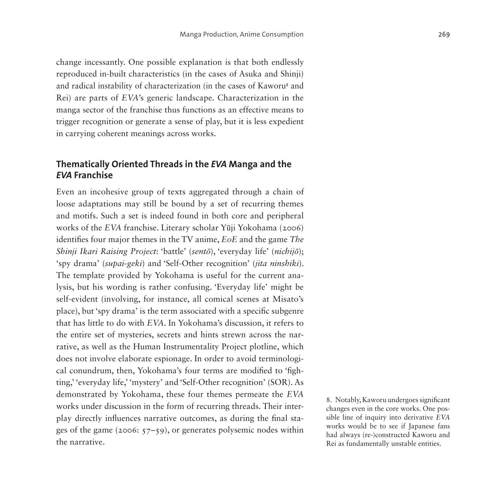change incessantly. One possible explanation is that both endlessly reproduced in-built characteristics (in the cases of Asuka and Shinji) and radical instability of characterization (in the cases of Kaworu<sup>[8](#page-22-0)</sup> and Rei) are parts of *EVA*'s generic landscape. Characterization in the manga sector of the franchise thus functions as an effective means to trigger recognition or generate a sense of play, but it is less expedient in carrying coherent meanings across works.

# **Thematically Oriented Threads in the** *EVA* **Manga and the**  *EVA* **Franchise**

Even an incohesive group of texts aggregated through a chain of loose adaptations may still be bound by a set of recurring themes and motifs. Such a set is indeed found in both core and peripheral works of the *EVA* franchise. Literary scholar Yūji Yokohama (2006) identifies four major themes in the TV anime, *EoE* and the game *The Shinji Ikari Raising Project*: 'battle' (*sentō*), 'everyday life' (*nichijō*); 'spy drama' (*supai-geki*) and 'Self-Other recognition' (*jita ninshiki*). The template provided by Yokohama is useful for the current analysis, but his wording is rather confusing. 'Everyday life' might be self-evident (involving, for instance, all comical scenes at Misato's place), but 'spy drama' is the term associated with a specific subgenre that has little to do with *EVA*. In Yokohama's discussion, it refers to the entire set of mysteries, secrets and hints strewn across the narrative, as well as the Human Instrumentality Project plotline, which does not involve elaborate espionage. In order to avoid terminological conundrum, then, Yokohama's four terms are modified to 'fighting,' 'everyday life,' 'mystery' and 'Self-Other recognition' (SOR). As demonstrated by Yokohama, these four themes permeate the *EVA* works under discussion in the form of recurring threads. Their interplay directly influences narrative outcomes, as during the final stages of the game (2006: 57–59), or generates polysemic nodes within the narrative.

<span id="page-22-0"></span>8. Notably, Kaworu undergoes significant changes even in the core works. One possible line of inquiry into derivative *EVA* works would be to see if Japanese fans had always (re-)constructed Kaworu and Rei as fundamentally unstable entities.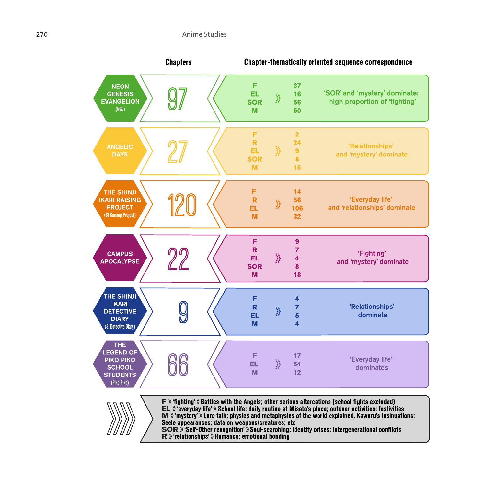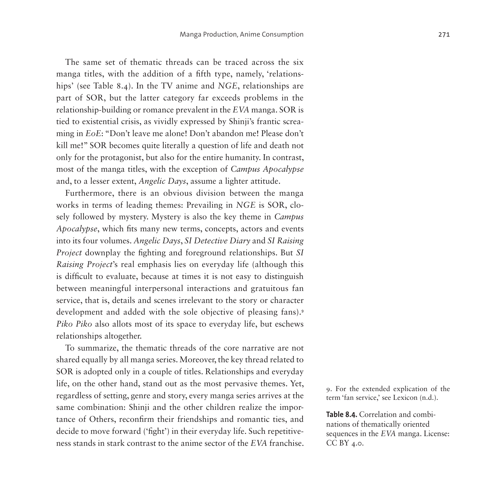The same set of thematic threads can be traced across the six manga titles, with the addition of a fifth type, namely, 'relationships' [\(see Table 8.4\)](#page-24-0). In the TV anime and *NGE*, relationships are part of SOR, but the latter category far exceeds problems in the relationship-building or romance prevalent in the *EVA* manga. SOR is tied to existential crisis, as vividly expressed by Shinji's frantic screaming in *EoE*: "Don't leave me alone! Don't abandon me! Please don't kill me!" SOR becomes quite literally a question of life and death not only for the protagonist, but also for the entire humanity. In contrast, most of the manga titles, with the exception of *Campus Apocalypse* and, to a lesser extent, *Angelic Days*, assume a lighter attitude.

Furthermore, there is an obvious division between the manga works in terms of leading themes: Prevailing in *NGE* is SOR, closely followed by mystery. Mystery is also the key theme in *Campus Apocalypse*, which fits many new terms, concepts, actors and events into its four volumes. *Angelic Days*, *SI Detective Diary* and *SI Raising Project* downplay the fighting and foreground relationships. But *SI Raising Project*'s real emphasis lies on everyday life (although this is difficult to evaluate, because at times it is not easy to distinguish between meaningful interpersonal interactions and gratuitous fan service, that is, details and scenes irrelevant to the story or character development and added with the sole objective of pleasing fans).<sup>[9](#page-24-1)</sup> *Piko Piko* also allots most of its space to everyday life, but eschews relationships altogether.

To summarize, the thematic threads of the core narrative are not shared equally by all manga series. Moreover, the key thread related to SOR is adopted only in a couple of titles. Relationships and everyday life, on the other hand, stand out as the most pervasive themes. Yet, regardless of setting, genre and story, every manga series arrives at the same combination: Shinji and the other children realize the importance of Others, reconfirm their friendships and romantic ties, and decide to move forward ('fight') in their everyday life. Such repetitiveness stands in stark contrast to the anime sector of the *EVA* franchise.

<span id="page-24-1"></span>9. For the extended explication of the term 'fan service,' see Lexicon (n.d.).

<span id="page-24-0"></span>**Table 8.4.** Correlation and combinations of thematically oriented sequences in the *EVA* manga. License: CC BY 4.0.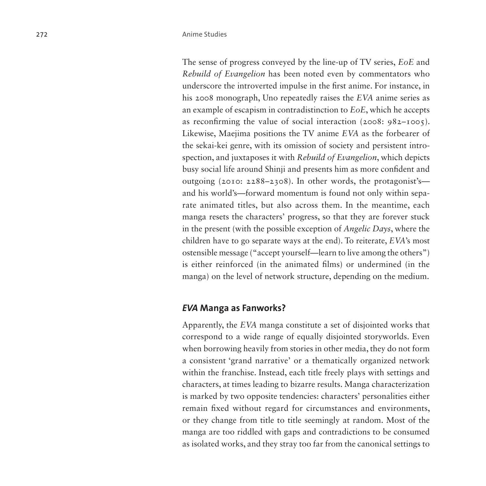The sense of progress conveyed by the line-up of TV series, *EoE* and *Rebuild of Evangelion* has been noted even by commentators who underscore the introverted impulse in the first anime. For instance, in his 2008 monograph, Uno repeatedly raises the *EVA* anime series as an example of escapism in contradistinction to *EoE*, which he accepts as reconfirming the value of social interaction (2008: 982–1005). Likewise, Maejima positions the TV anime *EVA* as the forbearer of the sekai-kei genre, with its omission of society and persistent introspection, and juxtaposes it with *Rebuild of Evangelion*, which depicts busy social life around Shinji and presents him as more confident and outgoing (2010: 2288–2308). In other words, the protagonist's and his world's—forward momentum is found not only within separate animated titles, but also across them. In the meantime, each manga resets the characters' progress, so that they are forever stuck in the present (with the possible exception of *Angelic Days*, where the children have to go separate ways at the end). To reiterate, *EVA*'s most ostensible message ("accept yourself—learn to live among the others") is either reinforced (in the animated films) or undermined (in the manga) on the level of network structure, depending on the medium.

### *EVA* **Manga as Fanworks?**

Apparently, the *EVA* manga constitute a set of disjointed works that correspond to a wide range of equally disjointed storyworlds. Even when borrowing heavily from stories in other media, they do not form a consistent 'grand narrative' or a thematically organized network within the franchise. Instead, each title freely plays with settings and characters, at times leading to bizarre results. Manga characterization is marked by two opposite tendencies: characters' personalities either remain fixed without regard for circumstances and environments, or they change from title to title seemingly at random. Most of the manga are too riddled with gaps and contradictions to be consumed as isolated works, and they stray too far from the canonical settings to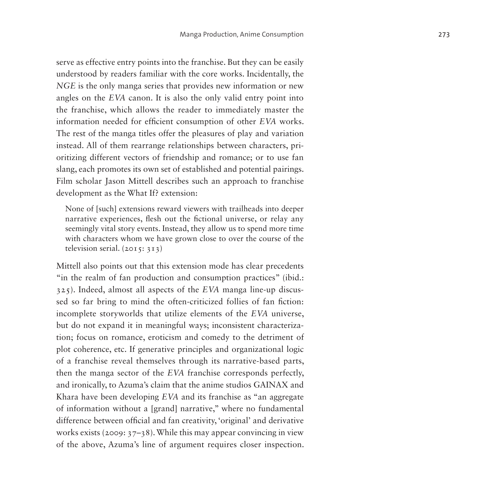serve as effective entry points into the franchise. But they can be easily understood by readers familiar with the core works. Incidentally, the *NGE* is the only manga series that provides new information or new angles on the *EVA* canon. It is also the only valid entry point into the franchise, which allows the reader to immediately master the information needed for efficient consumption of other *EVA* works. The rest of the manga titles offer the pleasures of play and variation instead. All of them rearrange relationships between characters, prioritizing different vectors of friendship and romance; or to use fan slang, each promotes its own set of established and potential pairings. Film scholar Jason Mittell describes such an approach to franchise development as the What If? extension:

None of [such] extensions reward viewers with trailheads into deeper narrative experiences, flesh out the fictional universe, or relay any seemingly vital story events. Instead, they allow us to spend more time with characters whom we have grown close to over the course of the television serial. (2015: 313)

Mittell also points out that this extension mode has clear precedents "in the realm of fan production and consumption practices" (ibid.: 325). Indeed, almost all aspects of the *EVA* manga line-up discussed so far bring to mind the often-criticized follies of fan fiction: incomplete storyworlds that utilize elements of the *EVA* universe, but do not expand it in meaningful ways; inconsistent characterization; focus on romance, eroticism and comedy to the detriment of plot coherence, etc. If generative principles and organizational logic of a franchise reveal themselves through its narrative-based parts, then the manga sector of the *EVA* franchise corresponds perfectly, and ironically, to Azuma's claim that the anime studios GAINAX and Khara have been developing *EVA* and its franchise as "an aggregate of information without a [grand] narrative," where no fundamental difference between official and fan creativity, 'original' and derivative works exists (2009: 37–38). While this may appear convincing in view of the above, Azuma's line of argument requires closer inspection.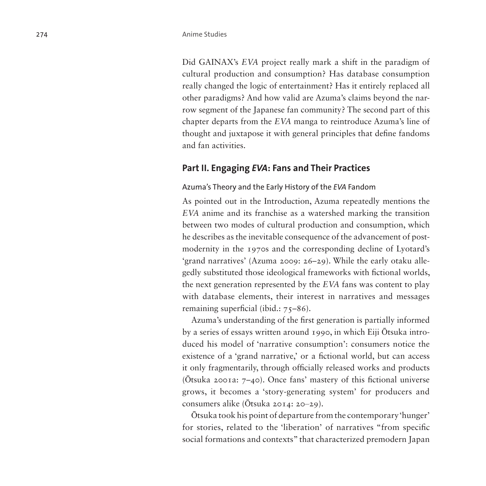Did GAINAX's *EVA* project really mark a shift in the paradigm of cultural production and consumption? Has database consumption really changed the logic of entertainment? Has it entirely replaced all other paradigms? And how valid are Azuma's claims beyond the narrow segment of the Japanese fan community? The second part of this chapter departs from the *EVA* manga to reintroduce Azuma's line of thought and juxtapose it with general principles that define fandoms and fan activities.

### **Part II. Engaging** *EVA***: Fans and Their Practices**

#### Azuma's Theory and the Early History of the *EVA* Fandom

As pointed out in the Introduction, Azuma repeatedly mentions the *EVA* anime and its franchise as a watershed marking the transition between two modes of cultural production and consumption, which he describes as the inevitable consequence of the advancement of postmodernity in the 1970s and the corresponding decline of Lyotard's 'grand narratives' (Azuma 2009: 26–29). While the early otaku allegedly substituted those ideological frameworks with fictional worlds, the next generation represented by the *EVA* fans was content to play with database elements, their interest in narratives and messages remaining superficial (ibid.: 75–86).

Azuma's understanding of the first generation is partially informed by a series of essays written around 1990, in which Eiji Ōtsuka introduced his model of 'narrative consumption': consumers notice the existence of a 'grand narrative,' or a fictional world, but can access it only fragmentarily, through officially released works and products (Ōtsuka 2001a: 7–40). Once fans' mastery of this fictional universe grows, it becomes a 'story-generating system' for producers and consumers alike (Ōtsuka 2014: 20–29).

Ōtsuka took his point of departure from the contemporary 'hunger' for stories, related to the 'liberation' of narratives "from specific social formations and contexts" that characterized premodern Japan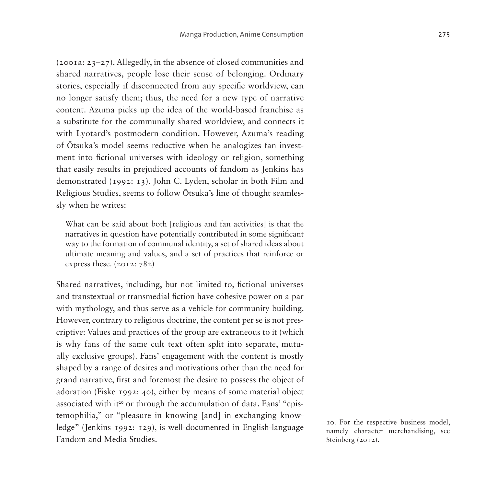(2001a: 23–27). Allegedly, in the absence of closed communities and shared narratives, people lose their sense of belonging. Ordinary stories, especially if disconnected from any specific worldview, can no longer satisfy them; thus, the need for a new type of narrative content. Azuma picks up the idea of the world-based franchise as a substitute for the communally shared worldview, and connects it with Lyotard's postmodern condition. However, Azuma's reading of Ōtsuka's model seems reductive when he analogizes fan investment into fictional universes with ideology or religion, something that easily results in prejudiced accounts of fandom as Jenkins has demonstrated (1992: 13). John C. Lyden, scholar in both Film and Religious Studies, seems to follow Ōtsuka's line of thought seamlessly when he writes:

What can be said about both [religious and fan activities] is that the narratives in question have potentially contributed in some significant way to the formation of communal identity, a set of shared ideas about ultimate meaning and values, and a set of practices that reinforce or express these. (2012: 782)

Shared narratives, including, but not limited to, fictional universes and transtextual or transmedial fiction have cohesive power on a par with mythology, and thus serve as a vehicle for community building. However, contrary to religious doctrine, the content per se is not prescriptive: Values and practices of the group are extraneous to it (which is why fans of the same cult text often split into separate, mutually exclusive groups). Fans' engagement with the content is mostly shaped by a range of desires and motivations other than the need for grand narrative, first and foremost the desire to possess the object of adoration (Fiske 1992: 40), either by means of some material object associated with it<sup>[10](#page-28-0)</sup> or through the accumulation of data. Fans' "epistemophilia," or "pleasure in knowing [and] in exchanging knowledge" (Jenkins 1992: 129), is well-documented in English-language Fandom and Media Studies.

<span id="page-28-0"></span>10. For the respective business model, namely character merchandising, see Steinberg (2012).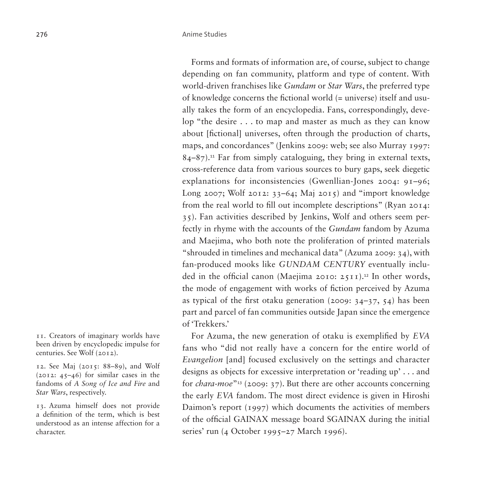Forms and formats of information are, of course, subject to change depending on fan community, platform and type of content. With world-driven franchises like *Gundam* or *Star Wars*, the preferred type of knowledge concerns the fictional world (= universe) itself and usually takes the form of an encyclopedia. Fans, correspondingly, develop "the desire . . . to map and master as much as they can know about [fictional] universes, often through the production of charts, maps, and concordances" (Jenkins 2009: web; see also Murray 1997:  $84-87$ ).<sup>[11](#page-29-0)</sup> Far from simply cataloguing, they bring in external texts, cross-reference data from various sources to bury gaps, seek diegetic explanations for inconsistencies (Gwenllian-Jones 2004: 91–96; Long 2007; Wolf 2012: 33–64; Maj 2015) and "import knowledge from the real world to fill out incomplete descriptions" (Ryan 2014: 35). Fan activities described by Jenkins, Wolf and others seem perfectly in rhyme with the accounts of the *Gundam* fandom by Azuma and Maejima, who both note the proliferation of printed materials "shrouded in timelines and mechanical data" (Azuma 2009: 34), with fan-produced mooks like *GUNDAM CENTURY* eventually included in the official canon (Maejima 2010:  $25I1$ ).<sup>[12](#page-29-1)</sup> In other words, the mode of engagement with works of fiction perceived by Azuma as typical of the first otaku generation (2009: 34–37, 54) has been part and parcel of fan communities outside Japan since the emergence of 'Trekkers.'

For Azuma, the new generation of otaku is exemplified by *EVA* fans who "did not really have a concern for the entire world of *Evangelion* [and] focused exclusively on the settings and character designs as objects for excessive interpretation or 'reading up' . . . and for *chara-moe*"[13](#page-29-2) (2009: 37). But there are other accounts concerning the early *EVA* fandom. The most direct evidence is given in Hiroshi Daimon's report (1997) which documents the activities of members of the official GAINAX message board SGAINAX during the initial series' run (4 October 1995–27 March 1996).

<span id="page-29-0"></span>11. Creators of imaginary worlds have been driven by encyclopedic impulse for centuries. See Wolf (2012).

<span id="page-29-1"></span>12. See Maj (2015: 88–89), and Wolf  $(2012: 45-46)$  for similar cases in the fandoms of *A Song of Ice and Fire* and *Star Wars*, respectively.

<span id="page-29-2"></span>13. Azuma himself does not provide a definition of the term, which is best understood as an intense affection for a character.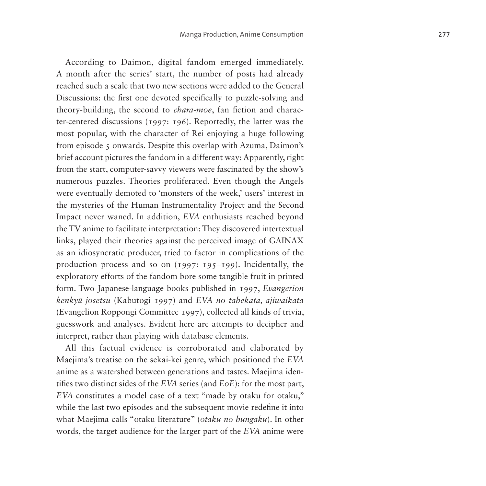According to Daimon, digital fandom emerged immediately. A month after the series' start, the number of posts had already reached such a scale that two new sections were added to the General Discussions: the first one devoted specifically to puzzle-solving and theory-building, the second to *chara-moe*, fan fiction and character-centered discussions (1997: 196). Reportedly, the latter was the most popular, with the character of Rei enjoying a huge following from episode 5 onwards. Despite this overlap with Azuma, Daimon's brief account pictures the fandom in a different way: Apparently, right from the start, computer-savvy viewers were fascinated by the show's numerous puzzles. Theories proliferated. Even though the Angels were eventually demoted to 'monsters of the week,' users' interest in the mysteries of the Human Instrumentality Project and the Second Impact never waned. In addition, *EVA* enthusiasts reached beyond the TV anime to facilitate interpretation: They discovered intertextual links, played their theories against the perceived image of GAINAX as an idiosyncratic producer, tried to factor in complications of the production process and so on  $(1997: 195-199)$ . Incidentally, the exploratory efforts of the fandom bore some tangible fruit in printed form. Two Japanese-language books published in 1997, *Evangerion kenkyū josetsu* (Kabutogi 1997) and *EVA no tabekata, ajiwaikata*  (Evangelion Roppongi Committee 1997), collected all kinds of trivia, guesswork and analyses. Evident here are attempts to decipher and interpret, rather than playing with database elements.

All this factual evidence is corroborated and elaborated by Maejima's treatise on the sekai-kei genre, which positioned the *EVA* anime as a watershed between generations and tastes. Maejima identifies two distinct sides of the *EVA* series (and *EoE*): for the most part, *EVA* constitutes a model case of a text "made by otaku for otaku," while the last two episodes and the subsequent movie redefine it into what Maejima calls "otaku literature" (*otaku no bungaku*). In other words, the target audience for the larger part of the *EVA* anime were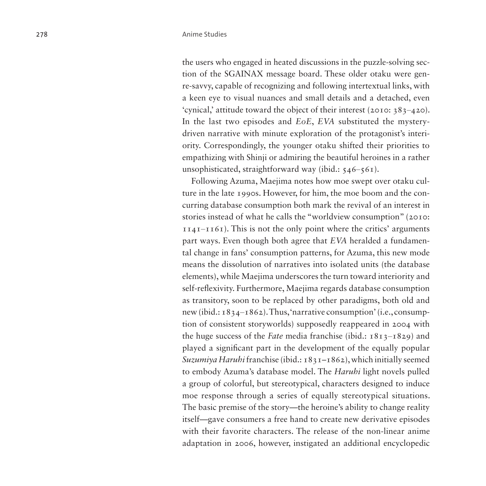the users who engaged in heated discussions in the puzzle-solving section of the SGAINAX message board. These older otaku were genre-savvy, capable of recognizing and following intertextual links, with a keen eye to visual nuances and small details and a detached, even 'cynical,' attitude toward the object of their interest (2010: 383-420). In the last two episodes and *EoE*, *EVA* substituted the mysterydriven narrative with minute exploration of the protagonist's interiority. Correspondingly, the younger otaku shifted their priorities to empathizing with Shinji or admiring the beautiful heroines in a rather unsophisticated, straightforward way (ibid.:  $546-561$ ).

Following Azuma, Maejima notes how moe swept over otaku culture in the late 1990s. However, for him, the moe boom and the concurring database consumption both mark the revival of an interest in stories instead of what he calls the "worldview consumption" (2010:  $1141 - 1161$ . This is not the only point where the critics' arguments part ways. Even though both agree that *EVA* heralded a fundamental change in fans' consumption patterns, for Azuma, this new mode means the dissolution of narratives into isolated units (the database elements), while Maejima underscores the turn toward interiority and self-reflexivity. Furthermore, Maejima regards database consumption as transitory, soon to be replaced by other paradigms, both old and new (ibid.:  $1834-1862$ ). Thus, 'narrative consumption' (i.e., consumption of consistent storyworlds) supposedly reappeared in 2004 with the huge success of the *Fate* media franchise (ibid.: 1813–1829) and played a significant part in the development of the equally popular *Suzumiya Haruhi* franchise (ibid.: 1831–1862), which initially seemed to embody Azuma's database model. The *Haruhi* light novels pulled a group of colorful, but stereotypical, characters designed to induce moe response through a series of equally stereotypical situations. The basic premise of the story—the heroine's ability to change reality itself—gave consumers a free hand to create new derivative episodes with their favorite characters. The release of the non-linear anime adaptation in 2006, however, instigated an additional encyclopedic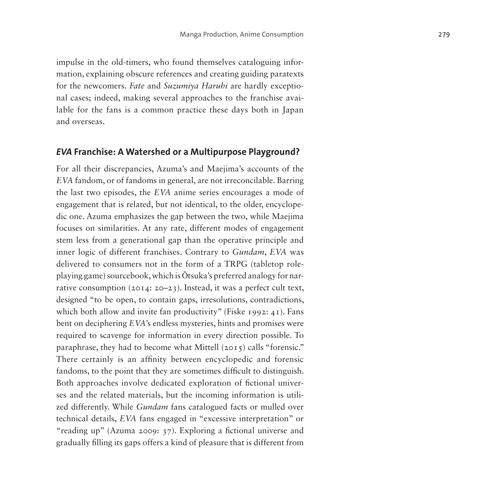impulse in the old-timers, who found themselves cataloguing information, explaining obscure references and creating guiding paratexts for the newcomers. *Fate* and *Suzumiya Haruhi* are hardly exceptional cases; indeed, making several approaches to the franchise available for the fans is a common practice these days both in Japan and overseas.

#### *EVA* **Franchise: A Watershed or a Multipurpose Playground?**

For all their discrepancies, Azuma's and Maejima's accounts of the *EVA* fandom, or of fandoms in general, are not irreconcilable. Barring the last two episodes, the *EVA* anime series encourages a mode of engagement that is related, but not identical, to the older, encyclopedic one. Azuma emphasizes the gap between the two, while Maejima focuses on similarities. At any rate, different modes of engagement stem less from a generational gap than the operative principle and inner logic of different franchises. Contrary to *Gundam*, *EVA* was delivered to consumers not in the form of a TRPG (tabletop roleplaying game) sourcebook, which is Ōtsuka's preferred analogy for narrative consumption (2014: 20–23). Instead, it was a perfect cult text, designed "to be open, to contain gaps, irresolutions, contradictions, which both allow and invite fan productivity" (Fiske 1992: 41). Fans bent on deciphering *EVA*'s endless mysteries, hints and promises were required to scavenge for information in every direction possible. To paraphrase, they had to become what Mittell (2015) calls "forensic." There certainly is an affinity between encyclopedic and forensic fandoms, to the point that they are sometimes difficult to distinguish. Both approaches involve dedicated exploration of fictional universes and the related materials, but the incoming information is utilized differently. While *Gundam* fans catalogued facts or mulled over technical details, *EVA* fans engaged in "excessive interpretation" or "reading up" (Azuma 2009: 37). Exploring a fictional universe and gradually filling its gaps offers a kind of pleasure that is different from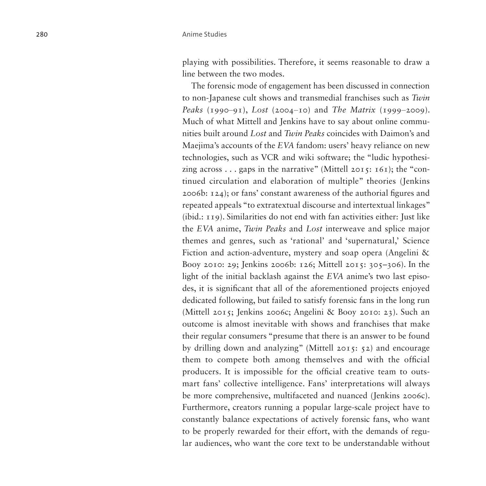playing with possibilities. Therefore, it seems reasonable to draw a line between the two modes.

The forensic mode of engagement has been discussed in connection to non-Japanese cult shows and transmedial franchises such as *Twin Peaks* (1990–91), *Lost* (2004–10) and *The Matrix* (1999–2009). Much of what Mittell and Jenkins have to say about online communities built around *Lost* and *Twin Peaks* coincides with Daimon's and Maejima's accounts of the *EVA* fandom: users' heavy reliance on new technologies, such as VCR and wiki software; the "ludic hypothesizing across  $\ldots$  gaps in the narrative" (Mittell 2015: 161); the "continued circulation and elaboration of multiple" theories (Jenkins 2006b: 124); or fans' constant awareness of the authorial figures and repeated appeals "to extratextual discourse and intertextual linkages" (ibid.: 119). Similarities do not end with fan activities either: Just like the *EVA* anime, *Twin Peaks* and *Lost* interweave and splice major themes and genres, such as 'rational' and 'supernatural,' Science Fiction and action-adventure, mystery and soap opera (Angelini & Booy 2010: 29; Jenkins 2006b: 126; Mittell 2015: 305–306). In the light of the initial backlash against the *EVA* anime's two last episodes, it is significant that all of the aforementioned projects enjoyed dedicated following, but failed to satisfy forensic fans in the long run (Mittell 2015; Jenkins 2006c; Angelini & Booy 2010: 23). Such an outcome is almost inevitable with shows and franchises that make their regular consumers "presume that there is an answer to be found by drilling down and analyzing" (Mittell 2015: 52) and encourage them to compete both among themselves and with the official producers. It is impossible for the official creative team to outsmart fans' collective intelligence. Fans' interpretations will always be more comprehensive, multifaceted and nuanced (Jenkins 2006c). Furthermore, creators running a popular large-scale project have to constantly balance expectations of actively forensic fans, who want to be properly rewarded for their effort, with the demands of regular audiences, who want the core text to be understandable without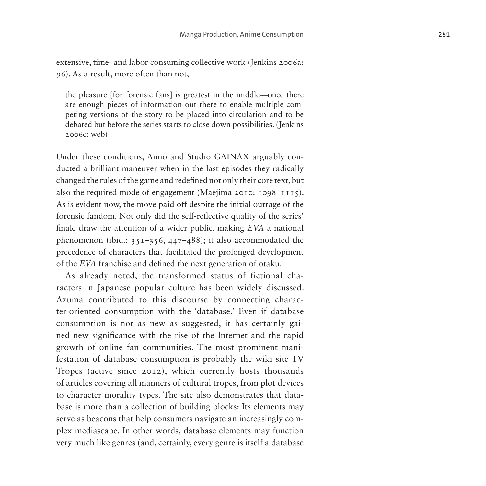extensive, time- and labor-consuming collective work (Jenkins 2006a: 96). As a result, more often than not,

the pleasure [for forensic fans] is greatest in the middle—once there are enough pieces of information out there to enable multiple competing versions of the story to be placed into circulation and to be debated but before the series starts to close down possibilities. (Jenkins 2006c: web)

Under these conditions, Anno and Studio GAINAX arguably conducted a brilliant maneuver when in the last episodes they radically changed the rules of the game and redefined not only their core text, but also the required mode of engagement (Maejima 2010:  $1098 - 1115$ ). As is evident now, the move paid off despite the initial outrage of the forensic fandom. Not only did the self-reflective quality of the series' finale draw the attention of a wider public, making *EVA* a national phenomenon (ibid.:  $351-356$ ,  $447-488$ ); it also accommodated the precedence of characters that facilitated the prolonged development of the *EVA* franchise and defined the next generation of otaku.

As already noted, the transformed status of fictional characters in Japanese popular culture has been widely discussed. Azuma contributed to this discourse by connecting character-oriented consumption with the 'database.' Even if database consumption is not as new as suggested, it has certainly gained new significance with the rise of the Internet and the rapid growth of online fan communities. The most prominent manifestation of database consumption is probably the wiki site TV Tropes (active since 2012), which currently hosts thousands of articles covering all manners of cultural tropes, from plot devices to character morality types. The site also demonstrates that database is more than a collection of building blocks: Its elements may serve as beacons that help consumers navigate an increasingly complex mediascape. In other words, database elements may function very much like genres (and, certainly, every genre is itself a database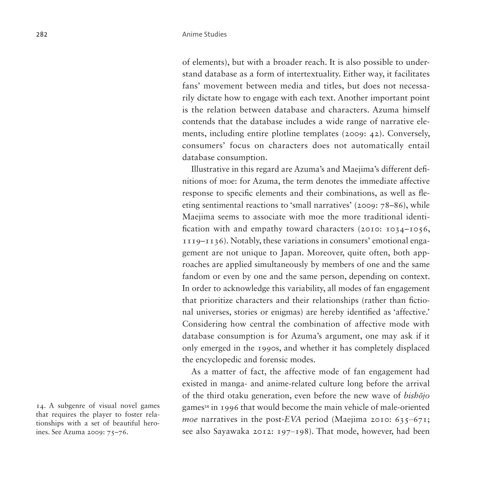of elements), but with a broader reach. It is also possible to understand database as a form of intertextuality. Either way, it facilitates fans' movement between media and titles, but does not necessarily dictate how to engage with each text. Another important point is the relation between database and characters. Azuma himself contends that the database includes a wide range of narrative elements, including entire plotline templates (2009: 42). Conversely, consumers' focus on characters does not automatically entail database consumption.

Illustrative in this regard are Azuma's and Maejima's different definitions of moe: for Azuma, the term denotes the immediate affective response to specific elements and their combinations, as well as fleeting sentimental reactions to 'small narratives' (2009: 78–86), while Maejima seems to associate with moe the more traditional identification with and empathy toward characters (2010: 1034–1056, 1119–1136). Notably, these variations in consumers' emotional engagement are not unique to Japan. Moreover, quite often, both approaches are applied simultaneously by members of one and the same fandom or even by one and the same person, depending on context. In order to acknowledge this variability, all modes of fan engagement that prioritize characters and their relationships (rather than fictional universes, stories or enigmas) are hereby identified as 'affective.' Considering how central the combination of affective mode with database consumption is for Azuma's argument, one may ask if it only emerged in the 1990s, and whether it has completely displaced the encyclopedic and forensic modes.

As a matter of fact, the affective mode of fan engagement had existed in manga- and anime-related culture long before the arrival of the third otaku generation, even before the new wave of *bishōjo* games[14](#page-35-0) in 1996 that would become the main vehicle of male-oriented *moe* narratives in the post-*EVA* period (Maejima 2010: 635–671; see also Sayawaka 2012: 197–198). That mode, however, had been

<span id="page-35-0"></span>14. A subgenre of visual novel games that requires the player to foster relationships with a set of beautiful heroines. See Azuma 2009: 75–76.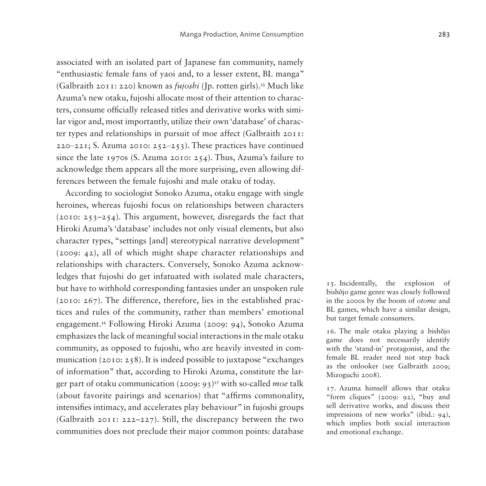associated with an isolated part of Japanese fan community, namely "enthusiastic female fans of yaoi and, to a lesser extent, BL manga" (Galbraith 2011: 220) known as *fujoshi* (Jp. rotten girls).[15](#page-36-0) Much like Azuma's new otaku, fujoshi allocate most of their attention to characters, consume officially released titles and derivative works with similar vigor and, most importantly, utilize their own 'database' of character types and relationships in pursuit of moe affect (Galbraith 2011: 220–221; S. Azuma 2010: 252–253). These practices have continued since the late 1970s (S. Azuma 2010: 254). Thus, Azuma's failure to acknowledge them appears all the more surprising, even allowing differences between the female fujoshi and male otaku of today.

According to sociologist Sonoko Azuma, otaku engage with single heroines, whereas fujoshi focus on relationships between characters (2010: 253–254). This argument, however, disregards the fact that Hiroki Azuma's 'database' includes not only visual elements, but also character types, "settings [and] stereotypical narrative development" (2009: 42), all of which might shape character relationships and relationships with characters. Conversely, Sonoko Azuma acknowledges that fujoshi do get infatuated with isolated male characters, but have to withhold corresponding fantasies under an unspoken rule (2010: 267). The difference, therefore, lies in the established practices and rules of the community, rather than members' emotional engagement.[16](#page-36-1) Following Hiroki Azuma (2009: 94), Sonoko Azuma emphasizes the lack of meaningful social interactions in the male otaku community, as opposed to fujoshi, who are heavily invested in communication (2010: 258). It is indeed possible to juxtapose "exchanges of information" that, according to Hiroki Azuma, constitute the larger part of otaku communication (2009: 93)[17](#page-36-2) with so-called *moe* talk (about favorite pairings and scenarios) that "affirms commonality, intensifies intimacy, and accelerates play behaviour" in fujoshi groups (Galbraith 2011: 222–227). Still, the discrepancy between the two communities does not preclude their major common points: database

<span id="page-36-0"></span>15. Incidentally, the explosion of bishōjo game genre was closely followed in the 2000s by the boom of *otome* and BL games, which have a similar design, but target female consumers.

<span id="page-36-1"></span>16. The male otaku playing a bishōjo game does not necessarily identify with the 'stand-in' protagonist, and the female BL reader need not step back as the onlooker (see Galbraith 2009; Mizoguchi 2008).

<span id="page-36-2"></span>17. Azuma himself allows that otaku "form cliques" (2009: 92), "buy and sell derivative works, and discuss their impressions of new works" (ibid.: 94), which implies both social interaction and emotional exchange.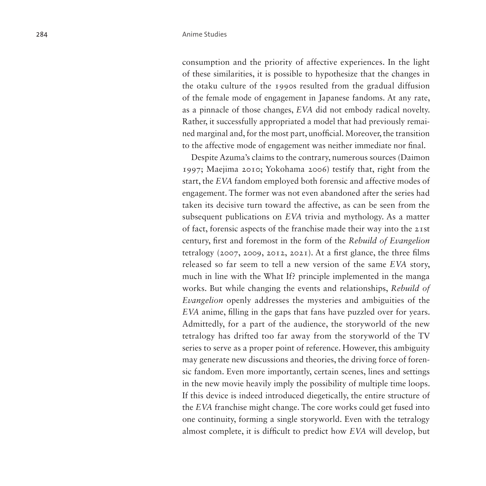consumption and the priority of affective experiences. In the light of these similarities, it is possible to hypothesize that the changes in the otaku culture of the 1990s resulted from the gradual diffusion of the female mode of engagement in Japanese fandoms. At any rate, as a pinnacle of those changes, *EVA* did not embody radical novelty. Rather, it successfully appropriated a model that had previously remained marginal and, for the most part, unofficial. Moreover, the transition to the affective mode of engagement was neither immediate nor final.

Despite Azuma's claims to the contrary, numerous sources (Daimon 1997; Maejima 2010; Yokohama 2006) testify that, right from the start, the *EVA* fandom employed both forensic and affective modes of engagement. The former was not even abandoned after the series had taken its decisive turn toward the affective, as can be seen from the subsequent publications on *EVA* trivia and mythology. As a matter of fact, forensic aspects of the franchise made their way into the 21st century, first and foremost in the form of the *Rebuild of Evangelion* tetralogy (2007, 2009, 2012, 2021). At a first glance, the three films released so far seem to tell a new version of the same *EVA* story, much in line with the What If? principle implemented in the manga works. But while changing the events and relationships, *Rebuild of Evangelion* openly addresses the mysteries and ambiguities of the *EVA* anime, filling in the gaps that fans have puzzled over for years. Admittedly, for a part of the audience, the storyworld of the new tetralogy has drifted too far away from the storyworld of the TV series to serve as a proper point of reference. However, this ambiguity may generate new discussions and theories, the driving force of forensic fandom. Even more importantly, certain scenes, lines and settings in the new movie heavily imply the possibility of multiple time loops. If this device is indeed introduced diegetically, the entire structure of the *EVA* franchise might change. The core works could get fused into one continuity, forming a single storyworld. Even with the tetralogy almost complete, it is difficult to predict how *EVA* will develop, but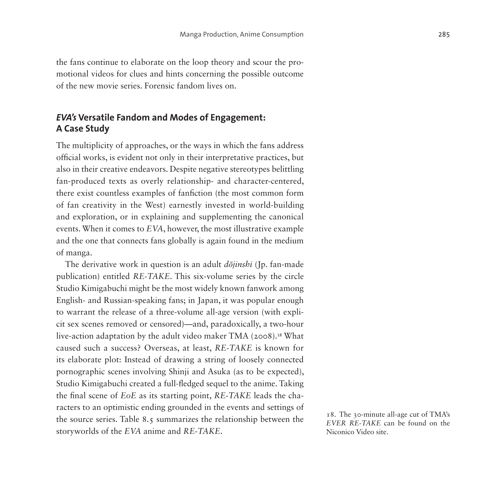the fans continue to elaborate on the loop theory and scour the promotional videos for clues and hints concerning the possible outcome of the new movie series. Forensic fandom lives on.

# *EVA's* **Versatile Fandom and Modes of Engagement: A Case Study**

The multiplicity of approaches, or the ways in which the fans address official works, is evident not only in their interpretative practices, but also in their creative endeavors. Despite negative stereotypes belittling fan-produced texts as overly relationship- and character-centered, there exist countless examples of fanfiction (the most common form of fan creativity in the West) earnestly invested in world-building and exploration, or in explaining and supplementing the canonical events. When it comes to *EVA*, however, the most illustrative example and the one that connects fans globally is again found in the medium of manga.

The derivative work in question is an adult *dōjinshi* (Jp. fan-made publication) entitled *RE-TAKE*. This six-volume series by the circle Studio Kimigabuchi might be the most widely known fanwork among English- and Russian-speaking fans; in Japan, it was popular enough to warrant the release of a three-volume all-age version (with explicit sex scenes removed or censored)—and, paradoxically, a two-hour live-action adaptation by the adult video maker TMA (2008).<sup>[18](#page-38-0)</sup> What caused such a success? Overseas, at least, *RE-TAKE* is known for its elaborate plot: Instead of drawing a string of loosely connected pornographic scenes involving Shinji and Asuka (as to be expected), Studio Kimigabuchi created a full-fledged sequel to the anime. Taking the final scene of *EoE* as its starting point, *RE-TAKE* leads the characters to an optimistic ending grounded in the events and settings of the source series. [Table 8.5](#page-39-0) summarizes the relationship between the storyworlds of the *EVA* anime and *RE-TAKE*.

<span id="page-38-0"></span>18. The 30-minute all-age cut of TMA's *EVER RE-TAKE* can be found on the Niconico Video site.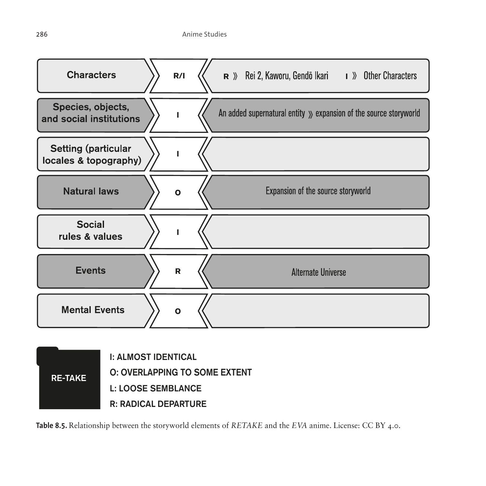



<span id="page-39-0"></span>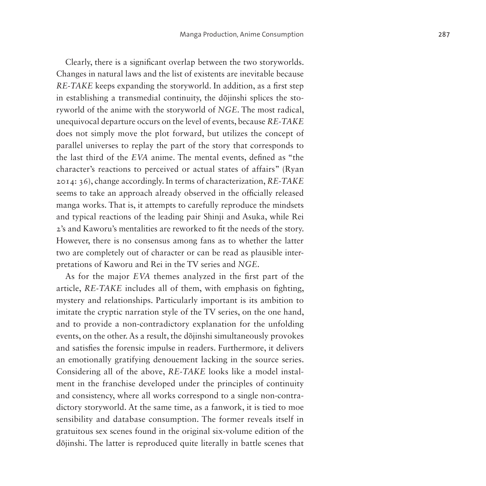Clearly, there is a significant overlap between the two storyworlds. Changes in natural laws and the list of existents are inevitable because *RE-TAKE* keeps expanding the storyworld. In addition, as a first step in establishing a transmedial continuity, the dōjinshi splices the storyworld of the anime with the storyworld of *NGE*. The most radical, unequivocal departure occurs on the level of events, because *RE-TAKE* does not simply move the plot forward, but utilizes the concept of parallel universes to replay the part of the story that corresponds to the last third of the *EVA* anime. The mental events, defined as "the character's reactions to perceived or actual states of affairs" (Ryan 2014: 36), change accordingly. In terms of characterization, *RE-TAKE* seems to take an approach already observed in the officially released manga works. That is, it attempts to carefully reproduce the mindsets and typical reactions of the leading pair Shinji and Asuka, while Rei 2's and Kaworu's mentalities are reworked to fit the needs of the story. However, there is no consensus among fans as to whether the latter two are completely out of character or can be read as plausible interpretations of Kaworu and Rei in the TV series and *NGE*.

As for the major *EVA* themes analyzed in the first part of the article, *RE-TAKE* includes all of them, with emphasis on fighting, mystery and relationships. Particularly important is its ambition to imitate the cryptic narration style of the TV series, on the one hand, and to provide a non-contradictory explanation for the unfolding events, on the other. As a result, the dōjinshi simultaneously provokes and satisfies the forensic impulse in readers. Furthermore, it delivers an emotionally gratifying denouement lacking in the source series. Considering all of the above, *RE-TAKE* looks like a model instalment in the franchise developed under the principles of continuity and consistency, where all works correspond to a single non-contradictory storyworld. At the same time, as a fanwork, it is tied to moe sensibility and database consumption. The former reveals itself in gratuitous sex scenes found in the original six-volume edition of the dōjinshi. The latter is reproduced quite literally in battle scenes that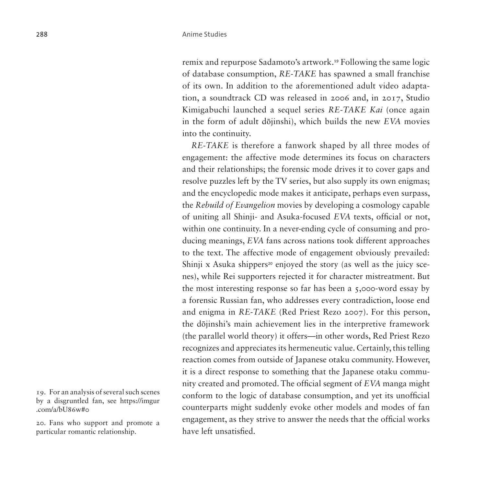remix and repurpose Sadamoto's artwork.[19](#page-41-0) Following the same logic of database consumption, *RE-TAKE* has spawned a small franchise of its own. In addition to the aforementioned adult video adaptation, a soundtrack CD was released in 2006 and, in 2017, Studio Kimigabuchi launched a sequel series *RE-TAKE Kai* (once again in the form of adult dōjinshi), which builds the new *EVA* movies into the continuity.

*RE-TAKE* is therefore a fanwork shaped by all three modes of engagement: the affective mode determines its focus on characters and their relationships; the forensic mode drives it to cover gaps and resolve puzzles left by the TV series, but also supply its own enigmas; and the encyclopedic mode makes it anticipate, perhaps even surpass, the *Rebuild of Evangelion* movies by developing a cosmology capable of uniting all Shinji- and Asuka-focused *EVA* texts, official or not, within one continuity. In a never-ending cycle of consuming and producing meanings, *EVA* fans across nations took different approaches to the text. The affective mode of engagement obviously prevailed: Shinji x Asuka shippers<sup>[20](#page-41-1)</sup> enjoyed the story (as well as the juicy scenes), while Rei supporters rejected it for character mistreatment. But the most interesting response so far has been a 5,000-word essay by a forensic Russian fan, who addresses every contradiction, loose end and enigma in *RE-TAKE* (Red Priest Rezo 2007). For this person, the dōjinshi's main achievement lies in the interpretive framework (the parallel world theory) it offers—in other words, Red Priest Rezo recognizes and appreciates its hermeneutic value. Certainly, this telling reaction comes from outside of Japanese otaku community. However, it is a direct response to something that the Japanese otaku community created and promoted. The official segment of *EVA* manga might conform to the logic of database consumption, and yet its unofficial counterparts might suddenly evoke other models and modes of fan engagement, as they strive to answer the needs that the official works have left unsatisfied.

<span id="page-41-0"></span>19. For an analysis of several such scenes by a disgruntled fan, see [https://imgur](https://imgur.com/a/bU86w#0) [.com/a/bU86w#0](https://imgur.com/a/bU86w#0)

<span id="page-41-1"></span>20. Fans who support and promote a particular romantic relationship.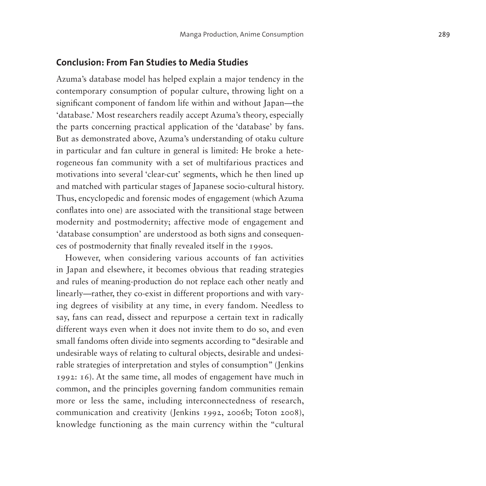#### **Conclusion: From Fan Studies to Media Studies**

Azuma's database model has helped explain a major tendency in the contemporary consumption of popular culture, throwing light on a significant component of fandom life within and without Japan—the 'database.' Most researchers readily accept Azuma's theory, especially the parts concerning practical application of the 'database' by fans. But as demonstrated above, Azuma's understanding of otaku culture in particular and fan culture in general is limited: He broke a hete rogeneous fan community with a set of multifarious practices and motivations into several 'clear-cut' segments, which he then lined up and matched with particular stages of Japanese socio-cultural history. Thus, encyclopedic and forensic modes of engagement (which Azuma conflates into one) are associated with the transitional stage between modernity and postmodernity; affective mode of engagement and 'database consumption' are understood as both signs and consequen ces of postmodernity that finally revealed itself in the 1990s.

However, when considering various accounts of fan activities in Japan and elsewhere, it becomes obvious that reading strategies and rules of meaning-production do not replace each other neatly and linearly—rather, they co-exist in different proportions and with vary ing degrees of visibility at any time, in every fandom. Needless to say, fans can read, dissect and repurpose a certain text in radically different ways even when it does not invite them to do so, and even small fandoms often divide into segments according to "desirable and undesirable ways of relating to cultural objects, desirable and undesi rable strategies of interpretation and styles of consumption" (Jenkins 1992: 16). At the same time, all modes of engagement have much in common, and the principles governing fandom communities remain more or less the same, including interconnectedness of research, communication and creativity (Jenkins 1992, 2006b; Toton 2008), knowledge functioning as the main currency within the "cultural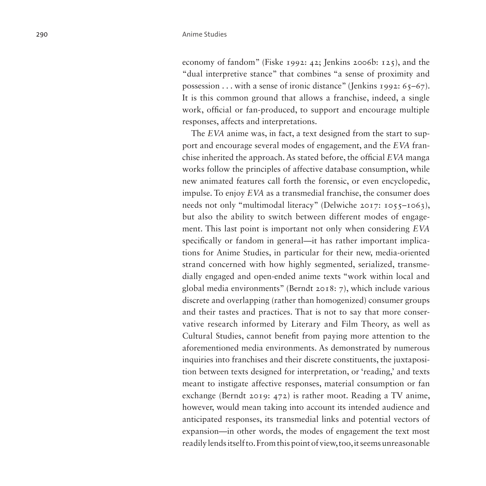economy of fandom" (Fiske 1992: 42; Jenkins 2006b: 125), and the "dual interpretive stance" that combines "a sense of proximity and possession ... with a sense of ironic distance" (Jenkins 1992:  $65-67$ ). It is this common ground that allows a franchise, indeed, a single work, official or fan-produced, to support and encourage multiple responses, affects and interpretations.

The *EVA* anime was, in fact, a text designed from the start to support and encourage several modes of engagement, and the *EVA* franchise inherited the approach. As stated before, the official *EVA* manga works follow the principles of affective database consumption, while new animated features call forth the forensic, or even encyclopedic, impulse. To enjoy *EVA* as a transmedial franchise, the consumer does needs not only "multimodal literacy" (Delwiche 2017: 1055–1063), but also the ability to switch between different modes of engagement. This last point is important not only when considering *EVA* specifically or fandom in general—it has rather important implications for Anime Studies, in particular for their new, media-oriented strand concerned with how highly segmented, serialized, transmedially engaged and open-ended anime texts "work within local and global media environments" (Berndt 2018: 7), which include various discrete and overlapping (rather than homogenized) consumer groups and their tastes and practices. That is not to say that more conservative research informed by Literary and Film Theory, as well as Cultural Studies, cannot benefit from paying more attention to the aforementioned media environments. As demonstrated by numerous inquiries into franchises and their discrete constituents, the juxtaposition between texts designed for interpretation, or 'reading,' and texts meant to instigate affective responses, material consumption or fan exchange (Berndt 2019: 472) is rather moot. Reading a TV anime, however, would mean taking into account its intended audience and anticipated responses, its transmedial links and potential vectors of expansion—in other words, the modes of engagement the text most readily lends itself to. From this point of view, too, it seems unreasonable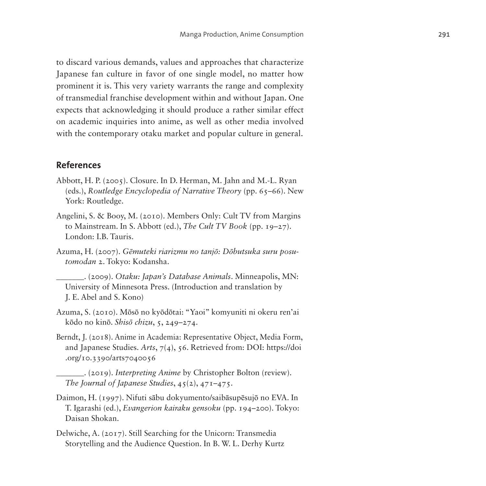to discard various demands, values and approaches that characterize Japanese fan culture in favor of one single model, no matter how prominent it is. This very variety warrants the range and complexity of transmedial franchise development within and without Japan. One expects that acknowledging it should produce a rather similar effect on academic inquiries into anime, as well as other media involved with the contemporary otaku market and popular culture in general.

### **References**

- Abbott, H. P. (2005). Closure. In D. Herman, M. Jahn and M.-L. Ryan (eds.), *Routledge Encyclopedia of Narrative Theory* (pp. 65–66). New York: Routledge.
- Angelini, S. & Booy, M. (2010). Members Only: Cult TV from Margins to Mainstream. In S. Abbott (ed.), *The Cult TV Book* (pp. 19–27). London: I.B. Tauris.
- Azuma, H. (2007). *Gēmuteki riarizmu no tanjō: Dōbutsuka suru posutomodan* 2. Tokyo: Kodansha.
	- \_\_\_\_\_\_\_. (2009). *Otaku: Japan's Database Animals*. Minneapolis, MN: University of Minnesota Press. (Introduction and translation by J. E. Abel and S. Kono)
- Azuma, S. (2010). Mōsō no kyōdōtai: "Yaoi" komyuniti ni okeru ren'ai kōdo no kinō. *Shisō chizu*, 5, 249–274.
- Berndt, J. (2018). Anime in Academia: Representative Object, Media Form, and Japanese Studies. *Arts*, 7(4), 56. Retrieved from: DOI: [https://doi](https://doi.org/10.3390/arts7040056) [.org/10.3390/arts7040056](https://doi.org/10.3390/arts7040056)
	- \_\_\_\_\_\_\_. (2019). *Interpreting Anime* by Christopher Bolton (review). *The Journal of Japanese Studies*, 45(2), 471–475.
- Daimon, H. (1997). Nifuti sābu dokyumento/saibāsupēsujō no EVA. In T. Igarashi (ed.), *Evangerion kairaku gensoku* (pp. 194–200). Tokyo: Daisan Shokan.
- Delwiche, A. (2017). Still Searching for the Unicorn: Transmedia Storytelling and the Audience Question. In B. W. L. Derhy Kurtz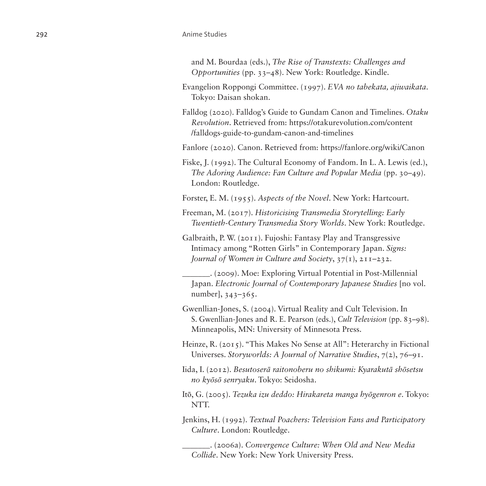#### 292 Anime Studies

and M. Bourdaa (eds.), *The Rise of Transtexts: Challenges and Opportunities* (pp. 33–48). New York: Routledge. Kindle.

- Evangelion Roppongi Committee. (1997). *EVA no tabekata, ajiwaikata*. Tokyo: Daisan shokan.
- Falldog (2020). Falldog's Guide to Gundam Canon and Timelines. *Otaku Revolution*. Retrieved from: [https://otakurevolution.com/content](https://otakurevolution.com/content/falldogs-guide-to-gundam-canon-and-timelines) [/falldogs-guide-to-gundam-canon-and-timelines](https://otakurevolution.com/content/falldogs-guide-to-gundam-canon-and-timelines)

Fanlore (2020). Canon. Retrieved from: <https://fanlore.org/wiki/Canon>

Fiske, J. (1992). The Cultural Economy of Fandom. In L. A. Lewis (ed.), *The Adoring Audience: Fan Culture and Popular Media* (pp. 30–49). London: Routledge.

Forster, E. M. (1955). *Aspects of the Novel*. New York: Hartcourt.

Freeman, M. (2017). *Historicising Transmedia Storytelling: Early Twentieth-Century Transmedia Story Worlds*. New York: Routledge.

Galbraith, P. W. (2011). Fujoshi: Fantasy Play and Transgressive Intimacy among "Rotten Girls" in Contemporary Japan. *Signs: Journal of Women in Culture and Society*, 37(1), 211–232.

\_\_\_\_\_\_\_. (2009). Moe: Exploring Virtual Potential in Post-Millennial Japan. *Electronic Journal of Contemporary Japanese Studies* [no vol. number], 343–365.

Gwenllian-Jones, S. (2004). Virtual Reality and Cult Television. In S. Gwenllian-Jones and R. E. Pearson (eds.), *Cult Television* (pp. 83–98). Minneapolis, MN: University of Minnesota Press.

Heinze, R. (2015). "This Makes No Sense at All": Heterarchy in Fictional Universes. *Storyworlds: A Journal of Narrative Studies*, 7(2), 76–91.

Iida, I. (2012). *Besutoserā raitonoberu no shikumi: Kyarakutā shōsetsu no kyōsō senryaku*. Tokyo: Seidosha.

Itō, G. (2005). *Tezuka izu deddo: Hirakareta manga hyōgenron e*. Tokyo: NTT.

Jenkins, H. (1992). *Textual Poachers: Television Fans and Participatory Culture*. London: Routledge.

\_\_\_\_\_\_\_. (2006a). *Convergence Culture: When Old and New Media Collide*. New York: New York University Press.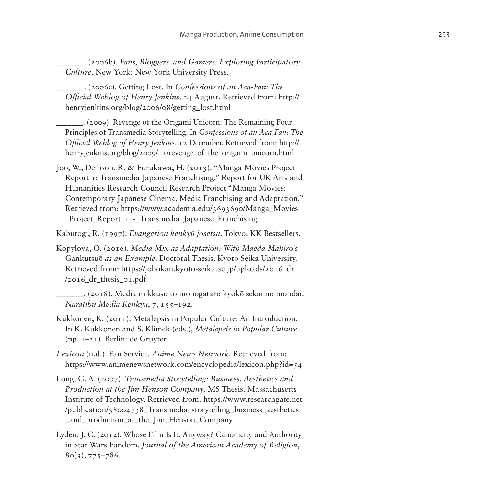- \_\_\_\_\_\_\_. (2006b). *Fans, Bloggers, and Gamers: Exploring Participatory Culture*. New York: New York University Press.
- \_\_\_\_\_\_\_. (2006c). Getting Lost. In *Confessions of an Aca-Fan: The Official Weblog of Henry Jenkins*. 24 August. Retrieved from: [http://](http://henryjenkins.org/blog/2006/08/getting_lost.html) [henryjenkins.org/blog/2006/08/getting\\_lost.html](http://henryjenkins.org/blog/2006/08/getting_lost.html)
- \_\_\_\_\_\_\_. (2009). Revenge of the Origami Unicorn: The Remaining Four Principles of Transmedia Storytelling. In *Confessions of an Aca-Fan: The Official Weblog of Henry Jenkins*. 12 December. Retrieved from: [http://](http://henryjenkins.org/blog/2009/12/revenge_of_the_origami_unicorn.html) henryjenkins.org/blog/2009/12/revenge of the origami unicorn.html
- Joo, W., Denison, R. & Furukawa, H. (2013). "Manga Movies Project Report 1: Transmedia Japanese Franchising." Report for UK Arts and Humanities Research Council Research Project "Manga Movies: Contemporary Japanese Cinema, Media Franchising and Adaptation." Retrieved from: [https://www.academia.edu/3693690/Manga\\_Movies](https://www.academia.edu/3693690/Manga_Movies_Project_Report_1_-_Transmedia_Japanese_Franchising) Project Report I - Transmedia Japanese Franchising
- Kabutogi, R. (1997). *Evangerion kenkyū josetsu*. Tokyo: KK Bestsellers.
- Kopylova, O. (2016). *Media Mix as Adaptation: With Maeda Mahiro's*  Gankutsuō *as an Example*. Doctoral Thesis. Kyoto Seika University. Retrieved from: [https://johokan.kyoto-seika.ac.jp/uploads/2016\\_dr](https://johokan.kyoto-seika.ac.jp/uploads/2016_dr/2016_dr_thesis_01.pdf)  $/2016$  dr thesis  $01.$ pdf
- \_\_\_\_\_\_\_. (2018). Media mikkusu to monogatari: kyokō sekai no mondai. *Naratibu Media Kenkyū*, 7, 155–192.
- Kukkonen, K. (2011). Metalepsis in Popular Culture: An Introduction. In K. Kukkonen and S. Klimek (eds.), *Metalepsis in Popular Culture* (pp. 1–21). Berlin: de Gruyter.
- *Lexicon* (n.d.). Fan Service. *Anime News Network*. Retrieved from: <https://www.animenewsnetwork.com/encyclopedia/lexicon.php?id=54>
- Long, G. A. (2007). *Transmedia Storytelling: Business, Aesthetics and Production at the Jim Henson Company*. MS Thesis. Massachusetts Institute of Technology. Retrieved from: [https://www.researchgate.net](https://www.researchgate.net/publication/38004738_Transmedia_storytelling_business_aesthetics_and_production_at_the_Jim_Henson_Company) [/publication/38004738\\_Transmedia\\_storytelling\\_business\\_aesthetics](https://www.researchgate.net/publication/38004738_Transmedia_storytelling_business_aesthetics_and_production_at_the_Jim_Henson_Company) [\\_and\\_production\\_at\\_the\\_Jim\\_Henson\\_Company](https://www.researchgate.net/publication/38004738_Transmedia_storytelling_business_aesthetics_and_production_at_the_Jim_Henson_Company)
- Lyden, J. C. (2012). Whose Film Is It, Anyway? Canonicity and Authority in Star Wars Fandom. *Journal of the American Academy of Religion*,  $8o(3), 775-786.$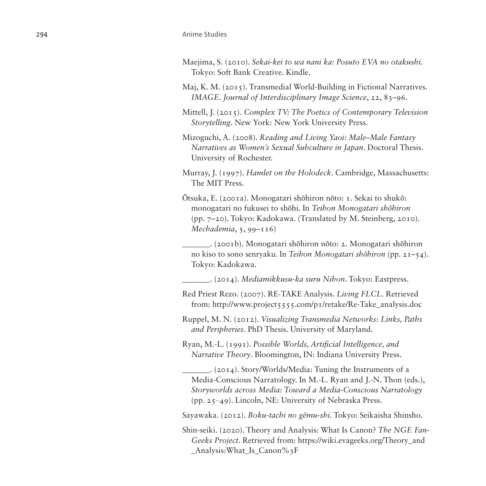#### 294 Anime Studies

- Maejima, S. (2010). *Sekai-kei to wa nani ka: Posuto EVA no otakushi*. Tokyo: Soft Bank Creative. Kindle.
- Maj, K. M. (2015). Transmedial World-Building in Fictional Narratives. *IMAGE. Journal of Interdisciplinary Image Science*, 22, 83–96.
- Mittell, J. (2015). *Complex TV: The Poetics of Contemporary Television Storytelling*. New York: New York University Press.
- Mizoguchi, A. (2008). *Reading and Living Yaoi: Male–Male Fantasy Narratives as Women's Sexual Subculture in Japan*. Doctoral Thesis. University of Rochester.
- Murray, J. (1997). *Hamlet on the Holodeck*. Cambridge, Massachusetts: The MIT Press.
- Ōtsuka, E. (2001a). Monogatari shōhiron nōto: 1. Sekai to shukō: monogatari no fukusei to shōhi. In *Teihon Monogatari shōhiron* (pp. 7–20). Tokyo: Kadokawa. (Translated by M. Steinberg, 2010). *Mechademia*, 5, 99–116)
	- \_\_\_\_\_\_\_. (2001b). Monogatari shōhiron nōto: 2. Monogatari shōhiron no kiso to sono senryaku. In *Teihon Monogatari shōhiron* (pp. 21–54). Tokyo: Kadokawa.

\_\_\_\_\_\_\_. (2014). *Mediamikkusu-ka suru Nihon*. Tokyo: Eastpress.

- Red Priest Rezo. (2007). RE-TAKE Analysis. *Living FLCL*. Retrieved from: [http://www.project5555.com/p1/retake/Re-Take\\_analysis.doc](http://www.project5555.com/p1/retake/Re-Take_analysis.doc)
- Ruppel, M. N. (2012). *Visualizing Transmedia Networks: Links, Paths and Peripheries*. PhD Thesis. University of Maryland.
- Ryan, M.-L. (1991). *Possible Worlds, Artificial Intelligence, and Narrative Theory*. Bloomington, IN: Indiana University Press.
	- \_\_\_\_\_\_\_. (2014). Story/Worlds/Media: Tuning the Instruments of a Media-Conscious Narratology. In M.-L. Ryan and J.-N. Thon (eds.), *Storyworlds across Media: Toward a Media-Conscious Narratology* (pp. 25‒49). Lincoln, NE: University of Nebraska Press.

Sayawaka. (2012). *Boku-tachi no gēmu-shi*. Tokyo: Seikaisha Shinsho.

Shin-seiki. (2020). Theory and Analysis: What Is Canon? *The NGE Fan-Geeks Project*. Retrieved from: [https://wiki.evageeks.org/Theory\\_and](https://wiki.evageeks.org/Theory_and_Analysis:What_Is_Canon%3F) Analysis:What Is Canon%3F